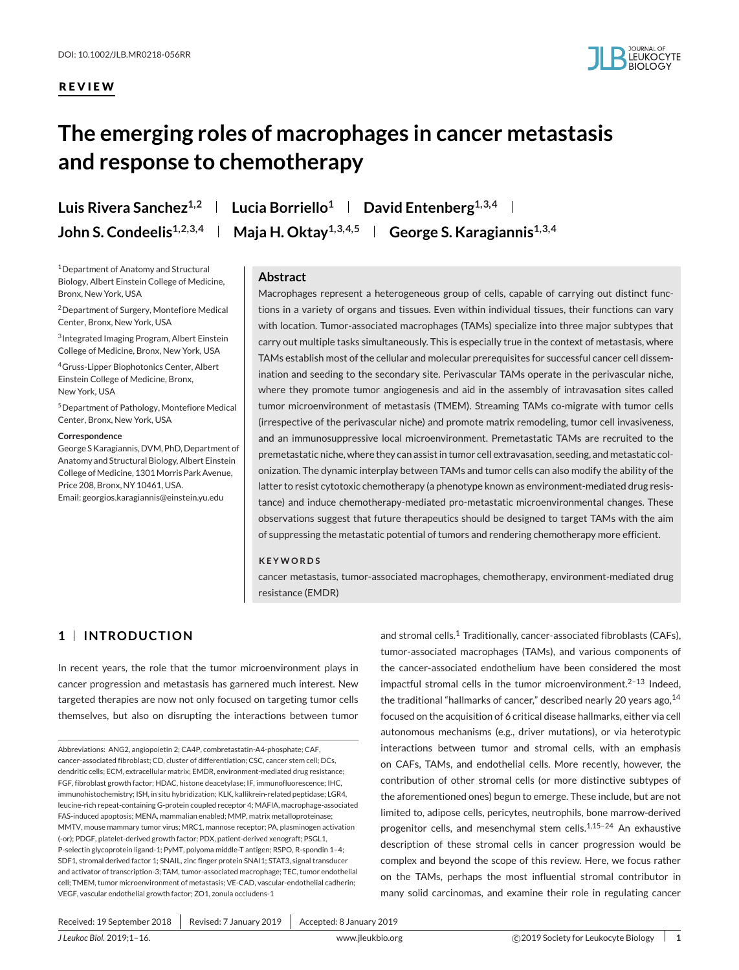## **REVIEW**



# **The emerging roles of macrophages in cancer metastasis and response to chemotherapy**

1Department of Anatomy and Structural Biology, Albert Einstein College of Medicine, Bronx, New York, USA

2Department of Surgery, Montefiore Medical Center, Bronx, New York, USA

3Integrated Imaging Program, Albert Einstein College of Medicine, Bronx, New York, USA

4Gruss-Lipper Biophotonics Center, Albert Einstein College of Medicine, Bronx, New York, USA

5Department of Pathology, Montefiore Medical Center, Bronx, New York, USA

#### **Correspondence**

George S Karagiannis, DVM, PhD, Department of Anatomy and Structural Biology, Albert Einstein College of Medicine, 1301 Morris Park Avenue, Price 208, Bronx, NY 10461, USA. Email: georgios.karagiannis@einstein.yu.edu

Luis Rivera Sanchez<sup>1,2</sup> | Lucia Borriello<sup>1</sup> | David Entenberg<sup>1,3,4</sup> | **John S. Condeelis**<sup>1,2,3,4</sup> | Maja H. Oktay<sup>1,3,4,5</sup> | George S. Karagiannis<sup>1,3,4</sup>

#### **Abstract**

Macrophages represent a heterogeneous group of cells, capable of carrying out distinct functions in a variety of organs and tissues. Even within individual tissues, their functions can vary with location. Tumor-associated macrophages (TAMs) specialize into three major subtypes that carry out multiple tasks simultaneously. This is especially true in the context of metastasis, where TAMs establish most of the cellular and molecular prerequisites for successful cancer cell dissemination and seeding to the secondary site. Perivascular TAMs operate in the perivascular niche, where they promote tumor angiogenesis and aid in the assembly of intravasation sites called tumor microenvironment of metastasis (TMEM). Streaming TAMs co-migrate with tumor cells (irrespective of the perivascular niche) and promote matrix remodeling, tumor cell invasiveness, and an immunosuppressive local microenvironment. Premetastatic TAMs are recruited to the premetastatic niche, where they can assist in tumor cell extravasation, seeding, and metastatic colonization. The dynamic interplay between TAMs and tumor cells can also modify the ability of the latter to resist cytotoxic chemotherapy (a phenotype known as environment-mediated drug resistance) and induce chemotherapy-mediated pro-metastatic microenvironmental changes. These observations suggest that future therapeutics should be designed to target TAMs with the aim of suppressing the metastatic potential of tumors and rendering chemotherapy more efficient.

#### **KEYWORDS**

cancer metastasis, tumor-associated macrophages, chemotherapy, environment-mediated drug resistance (EMDR)

# **1 INTRODUCTION**

In recent years, the role that the tumor microenvironment plays in cancer progression and metastasis has garnered much interest. New targeted therapies are now not only focused on targeting tumor cells themselves, but also on disrupting the interactions between tumor

Abbreviations: ANG2, angiopoietin 2; CA4P, combretastatin-A4-phosphate; CAF, cancer-associated fibroblast; CD, cluster of differentiation; CSC, cancer stem cell; DCs, dendritic cells; ECM, extracellular matrix; EMDR, environment-mediated drug resistance; FGF, fibroblast growth factor; HDAC, histone deacetylase; IF, immunofluorescence; IHC, immunohistochemistry; ISH, in situ hybridization; KLK, kallikrein-related peptidase; LGR4, leucine-rich repeat-containing G-protein coupled receptor 4; MAFIA, macrophage-associated FAS-induced apoptosis; MENA, mammalian enabled; MMP, matrix metalloproteinase; MMTV, mouse mammary tumor virus; MRC1, mannose receptor; PA, plasminogen activation (-or); PDGF, platelet-derived growth factor; PDX, patient-derived xenograft; PSGL1, P-selectin glycoprotein ligand-1; PyMT, polyoma middle-T antigen; RSPO, R-spondin 1–4; SDF1, stromal derived factor 1; SNAIL, zinc finger protein SNAI1; STAT3, signal transducer and activator of transcription-3; TAM, tumor-associated macrophage; TEC, tumor endothelial cell; TMEM, tumor microenvironment of metastasis; VE-CAD, vascular-endothelial cadherin; VEGF, vascular endothelial growth factor; ZO1, zonula occludens-1

and stromal cells.<sup>1</sup> Traditionally, cancer-associated fibroblasts (CAFs), tumor-associated macrophages (TAMs), and various components of the cancer-associated endothelium have been considered the most impactful stromal cells in the tumor microenvironment. $2-13$  Indeed, the traditional "hallmarks of cancer," described nearly 20 years ago, 14 focused on the acquisition of 6 critical disease hallmarks, either via cell autonomous mechanisms (e.g., driver mutations), or via heterotypic interactions between tumor and stromal cells, with an emphasis on CAFs, TAMs, and endothelial cells. More recently, however, the contribution of other stromal cells (or more distinctive subtypes of the aforementioned ones) begun to emerge. These include, but are not limited to, adipose cells, pericytes, neutrophils, bone marrow-derived progenitor cells, and mesenchymal stem cells.<sup>1,15-24</sup> An exhaustive description of these stromal cells in cancer progression would be complex and beyond the scope of this review. Here, we focus rather on the TAMs, perhaps the most influential stromal contributor in many solid carcinomas, and examine their role in regulating cancer

Received: 19 September 2018 | Revised: 7 January 2019 | Accepted: 8 January 2019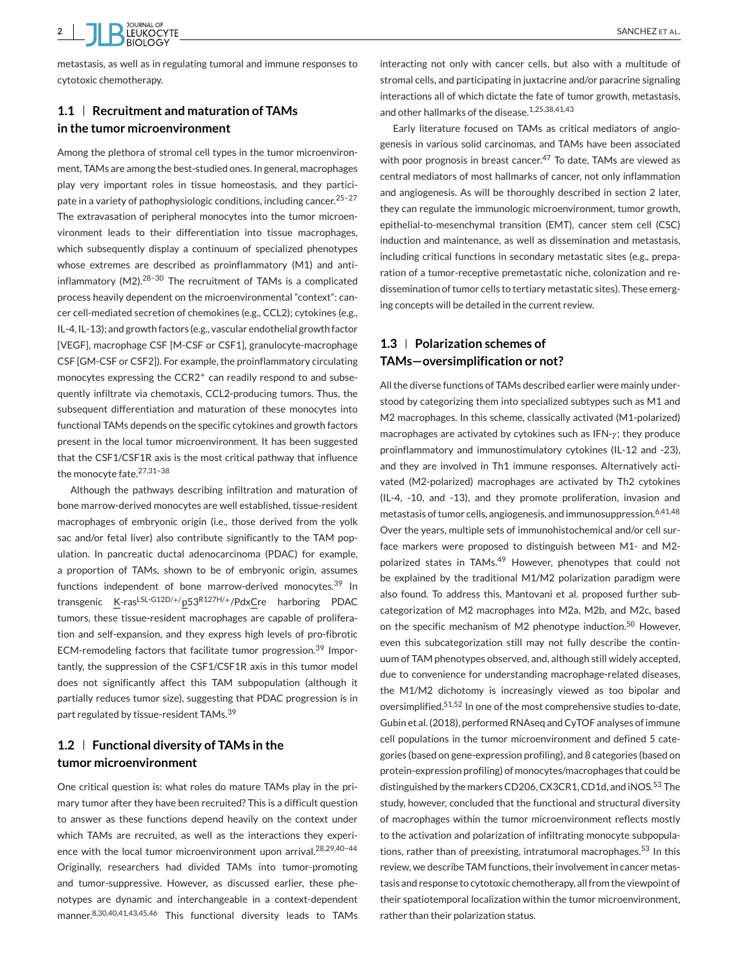cytotoxic chemotherapy.

## **1.1 Recruitment and maturation of TAMs in the tumor microenvironment**

Among the plethora of stromal cell types in the tumor microenvironment, TAMs are among the best-studied ones. In general, macrophages play very important roles in tissue homeostasis, and they participate in a variety of pathophysiologic conditions, including cancer.<sup>25-27</sup> The extravasation of peripheral monocytes into the tumor microenvironment leads to their differentiation into tissue macrophages, which subsequently display a continuum of specialized phenotypes whose extremes are described as proinflammatory (M1) and antiinflammatory (M2).28–30 The recruitment of TAMs is a complicated process heavily dependent on the microenvironmental "context": cancer cell-mediated secretion of chemokines (e.g., CCL2); cytokines (e.g., IL-4, IL-13); and growth factors (e.g., vascular endothelial growth factor [VEGF], macrophage CSF [M-CSF or CSF1], granulocyte-macrophage CSF [GM-CSF or CSF2]). For example, the proinflammatory circulating monocytes expressing the CCR2<sup>+</sup> can readily respond to and subsequently infiltrate via chemotaxis, CCL2-producing tumors. Thus, the subsequent differentiation and maturation of these monocytes into functional TAMs depends on the specific cytokines and growth factors present in the local tumor microenvironment. It has been suggested that the CSF1/CSF1R axis is the most critical pathway that influence the monocyte fate.27,31–38

Although the pathways describing infiltration and maturation of bone marrow-derived monocytes are well established, tissue-resident macrophages of embryonic origin (i.e., those derived from the yolk sac and/or fetal liver) also contribute significantly to the TAM population. In pancreatic ductal adenocarcinoma (PDAC) for example, a proportion of TAMs, shown to be of embryonic origin, assumes functions independent of bone marrow-derived monocytes.<sup>39</sup> In transgenic <u>K</u>-ras<sup>LSL-G12D/+/</sup>p53<sup>R127H/+</sup>/Pdx<u>C</u>re harboring PDAC tumors, these tissue-resident macrophages are capable of proliferation and self-expansion, and they express high levels of pro-fibrotic ECM-remodeling factors that facilitate tumor progression.<sup>39</sup> Importantly, the suppression of the CSF1/CSF1R axis in this tumor model does not significantly affect this TAM subpopulation (although it partially reduces tumor size), suggesting that PDAC progression is in part regulated by tissue-resident TAMs.<sup>39</sup>

# **1.2 Functional diversity of TAMs in the tumor microenvironment**

One critical question is: what roles do mature TAMs play in the primary tumor after they have been recruited? This is a difficult question to answer as these functions depend heavily on the context under which TAMs are recruited, as well as the interactions they experience with the local tumor microenvironment upon arrival.<sup>28,29,40-44</sup> Originally, researchers had divided TAMs into tumor-promoting and tumor-suppressive. However, as discussed earlier, these phenotypes are dynamic and interchangeable in a context-dependent manner.<sup>8,30,40,41,43,45,46</sup> This functional diversity leads to TAMs

interacting not only with cancer cells, but also with a multitude of stromal cells, and participating in juxtacrine and/or paracrine signaling interactions all of which dictate the fate of tumor growth, metastasis, and other hallmarks of the disease.1,25,38,41,43

Early literature focused on TAMs as critical mediators of angiogenesis in various solid carcinomas, and TAMs have been associated with poor prognosis in breast cancer.<sup>47</sup> To date, TAMs are viewed as central mediators of most hallmarks of cancer, not only inflammation and angiogenesis. As will be thoroughly described in section 2 later, they can regulate the immunologic microenvironment, tumor growth, epithelial-to-mesenchymal transition (EMT), cancer stem cell (CSC) induction and maintenance, as well as dissemination and metastasis, including critical functions in secondary metastatic sites (e.g., preparation of a tumor-receptive premetastatic niche, colonization and redissemination of tumor cells to tertiary metastatic sites). These emerging concepts will be detailed in the current review.

# **1.3 Polarization schemes of TAMs—oversimplification or not?**

All the diverse functions of TAMs described earlier were mainly understood by categorizing them into specialized subtypes such as M1 and M2 macrophages. In this scheme, classically activated (M1-polarized) macrophages are activated by cytokines such as  $IFN-\gamma$ ; they produce proinflammatory and immunostimulatory cytokines (IL-12 and -23), and they are involved in Th1 immune responses. Alternatively activated (M2-polarized) macrophages are activated by Th2 cytokines (IL-4, -10, and -13), and they promote proliferation, invasion and metastasis of tumor cells, angiogenesis, and immunosuppression.<sup>6,41,48</sup> Over the years, multiple sets of immunohistochemical and/or cell surface markers were proposed to distinguish between M1- and M2 polarized states in TAMs.<sup>49</sup> However, phenotypes that could not be explained by the traditional M1/M2 polarization paradigm were also found. To address this, Mantovani et al. proposed further subcategorization of M2 macrophages into M2a, M2b, and M2c, based on the specific mechanism of M2 phenotype induction.<sup>50</sup> However, even this subcategorization still may not fully describe the continuum of TAM phenotypes observed, and, although still widely accepted, due to convenience for understanding macrophage-related diseases, the M1/M2 dichotomy is increasingly viewed as too bipolar and oversimplified.51,52 In one of the most comprehensive studies to-date, Gubin et al. (2018), performed RNAseq and CyTOF analyses of immune cell populations in the tumor microenvironment and defined 5 categories (based on gene-expression profiling), and 8 categories (based on protein-expression profiling) of monocytes/macrophages that could be distinguished by the markers CD206, CX3CR1, CD1d, and iNOS.<sup>53</sup> The study, however, concluded that the functional and structural diversity of macrophages within the tumor microenvironment reflects mostly to the activation and polarization of infiltrating monocyte subpopulations, rather than of preexisting, intratumoral macrophages.<sup>53</sup> In this review, we describe TAM functions, their involvement in cancer metastasis and response to cytotoxic chemotherapy, all from the viewpoint of their spatiotemporal localization within the tumor microenvironment, rather than their polarization status.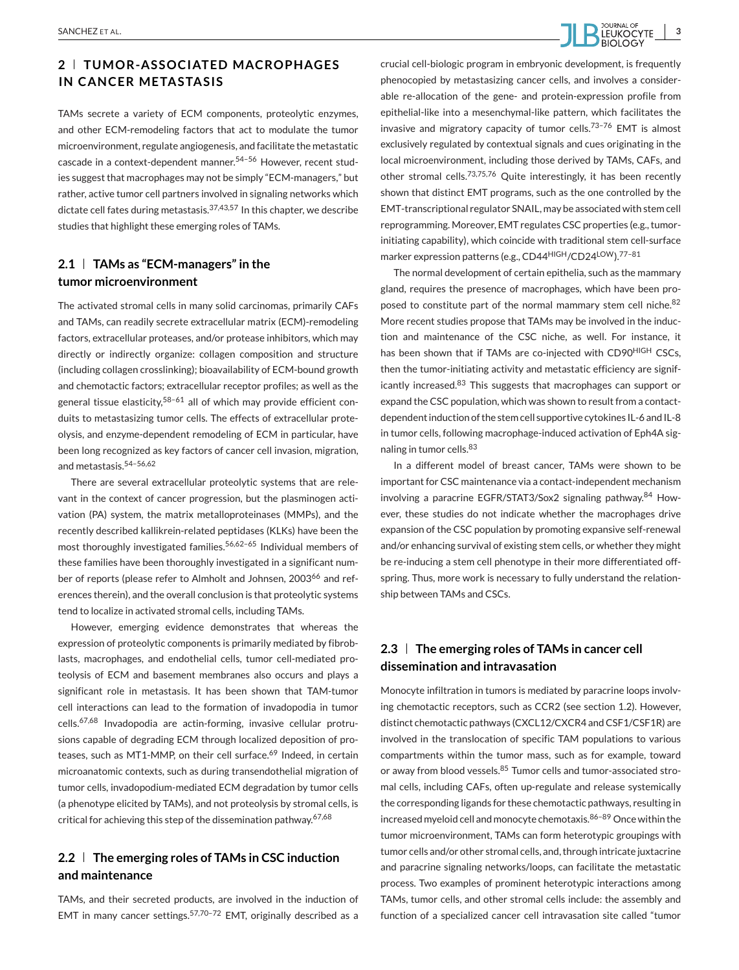# **2 TUMOR-ASSOCIATED MACROPHAGES IN CANCER METASTASIS**

TAMs secrete a variety of ECM components, proteolytic enzymes, and other ECM-remodeling factors that act to modulate the tumor microenvironment, regulate angiogenesis, and facilitate the metastatic cascade in a context-dependent manner.54–56 However, recent studies suggest that macrophages may not be simply "ECM-managers," but rather, active tumor cell partners involved in signaling networks which dictate cell fates during metastasis.37,43,57 In this chapter, we describe studies that highlight these emerging roles of TAMs.

## **2.1 TAMs as "ECM-managers" in the tumor microenvironment**

The activated stromal cells in many solid carcinomas, primarily CAFs and TAMs, can readily secrete extracellular matrix (ECM)-remodeling factors, extracellular proteases, and/or protease inhibitors, which may directly or indirectly organize: collagen composition and structure (including collagen crosslinking); bioavailability of ECM-bound growth and chemotactic factors; extracellular receptor profiles; as well as the general tissue elasticity,<sup>58-61</sup> all of which may provide efficient conduits to metastasizing tumor cells. The effects of extracellular proteolysis, and enzyme-dependent remodeling of ECM in particular, have been long recognized as key factors of cancer cell invasion, migration, and metastasis.54–56,62

There are several extracellular proteolytic systems that are relevant in the context of cancer progression, but the plasminogen activation (PA) system, the matrix metalloproteinases (MMPs), and the recently described kallikrein-related peptidases (KLKs) have been the most thoroughly investigated families.<sup>56,62-65</sup> Individual members of these families have been thoroughly investigated in a significant number of reports (please refer to Almholt and Johnsen, 2003<sup>66</sup> and references therein), and the overall conclusion is that proteolytic systems tend to localize in activated stromal cells, including TAMs.

However, emerging evidence demonstrates that whereas the expression of proteolytic components is primarily mediated by fibroblasts, macrophages, and endothelial cells, tumor cell-mediated proteolysis of ECM and basement membranes also occurs and plays a significant role in metastasis. It has been shown that TAM-tumor cell interactions can lead to the formation of invadopodia in tumor cells.67,68 Invadopodia are actin-forming, invasive cellular protrusions capable of degrading ECM through localized deposition of proteases, such as MT1-MMP, on their cell surface.<sup>69</sup> Indeed, in certain microanatomic contexts, such as during transendothelial migration of tumor cells, invadopodium-mediated ECM degradation by tumor cells (a phenotype elicited by TAMs), and not proteolysis by stromal cells, is critical for achieving this step of the dissemination pathway.<sup>67,68</sup>

# **2.2 The emerging roles of TAMs in CSC induction and maintenance**

TAMs, and their secreted products, are involved in the induction of EMT in many cancer settings.<sup>57,70-72</sup> EMT, originally described as a

crucial cell-biologic program in embryonic development, is frequently phenocopied by metastasizing cancer cells, and involves a considerable re-allocation of the gene- and protein-expression profile from epithelial-like into a mesenchymal-like pattern, which facilitates the invasive and migratory capacity of tumor cells.<sup>73-76</sup> EMT is almost exclusively regulated by contextual signals and cues originating in the local microenvironment, including those derived by TAMs, CAFs, and other stromal cells.73,75,76 Quite interestingly, it has been recently shown that distinct EMT programs, such as the one controlled by the EMT-transcriptional regulator SNAIL, may be associated with stem cell reprogramming. Moreover, EMT regulates CSC properties (e.g., tumorinitiating capability), which coincide with traditional stem cell-surface marker expression patterns (e.g., CD44HIGH/CD24LOW).77–81

The normal development of certain epithelia, such as the mammary gland, requires the presence of macrophages, which have been proposed to constitute part of the normal mammary stem cell niche.<sup>82</sup> More recent studies propose that TAMs may be involved in the induction and maintenance of the CSC niche, as well. For instance, it has been shown that if TAMs are co-injected with CD90<sup>HIGH</sup> CSCs, then the tumor-initiating activity and metastatic efficiency are significantly increased.<sup>83</sup> This suggests that macrophages can support or expand the CSC population, which was shown to result from a contactdependent induction of the stem cell supportive cytokines IL-6 and IL-8 in tumor cells, following macrophage-induced activation of Eph4A signaling in tumor cells.<sup>83</sup>

In a different model of breast cancer, TAMs were shown to be important for CSC maintenance via a contact-independent mechanism involving a paracrine EGFR/STAT3/Sox2 signaling pathway.<sup>84</sup> However, these studies do not indicate whether the macrophages drive expansion of the CSC population by promoting expansive self-renewal and/or enhancing survival of existing stem cells, or whether they might be re-inducing a stem cell phenotype in their more differentiated offspring. Thus, more work is necessary to fully understand the relationship between TAMs and CSCs.

# **2.3 The emerging roles of TAMs in cancer cell dissemination and intravasation**

Monocyte infiltration in tumors is mediated by paracrine loops involving chemotactic receptors, such as CCR2 (see section 1.2). However, distinct chemotactic pathways (CXCL12/CXCR4 and CSF1/CSF1R) are involved in the translocation of specific TAM populations to various compartments within the tumor mass, such as for example, toward or away from blood vessels.<sup>85</sup> Tumor cells and tumor-associated stromal cells, including CAFs, often up-regulate and release systemically the corresponding ligands for these chemotactic pathways, resulting in increased myeloid cell and monocyte chemotaxis.86–89 Once within the tumor microenvironment, TAMs can form heterotypic groupings with tumor cells and/or other stromal cells, and, through intricate juxtacrine and paracrine signaling networks/loops, can facilitate the metastatic process. Two examples of prominent heterotypic interactions among TAMs, tumor cells, and other stromal cells include: the assembly and function of a specialized cancer cell intravasation site called "tumor

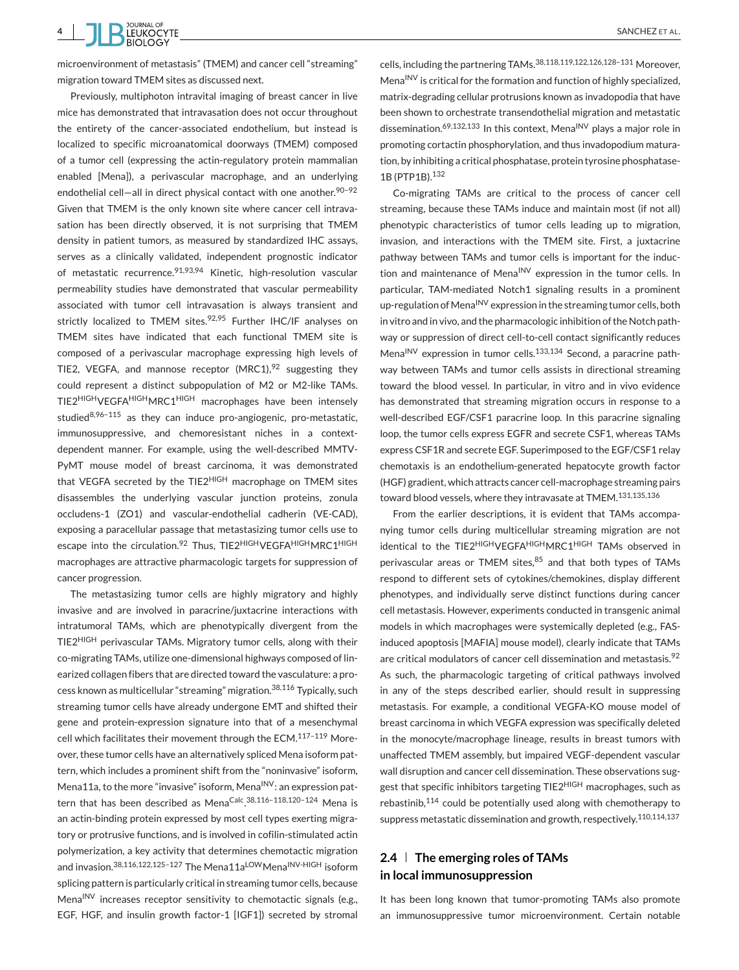**4** SANCHEZ ET AL. **SANCHEZ ET AL.** SANCHEZ ET AL.

microenvironment of metastasis" (TMEM) and cancer cell "streaming" migration toward TMEM sites as discussed next.

Previously, multiphoton intravital imaging of breast cancer in live mice has demonstrated that intravasation does not occur throughout the entirety of the cancer-associated endothelium, but instead is localized to specific microanatomical doorways (TMEM) composed of a tumor cell (expressing the actin-regulatory protein mammalian enabled [Mena]), a perivascular macrophage, and an underlying endothelial cell-all in direct physical contact with one another.<sup>90-92</sup> Given that TMEM is the only known site where cancer cell intravasation has been directly observed, it is not surprising that TMEM density in patient tumors, as measured by standardized IHC assays, serves as a clinically validated, independent prognostic indicator of metastatic recurrence.91,93,94 Kinetic, high-resolution vascular permeability studies have demonstrated that vascular permeability associated with tumor cell intravasation is always transient and strictly localized to TMEM sites. $92,95$  Further IHC/IF analyses on TMEM sites have indicated that each functional TMEM site is composed of a perivascular macrophage expressing high levels of TIE2, VEGFA, and mannose receptor  $(MRC1)<sup>92</sup>$  suggesting they could represent a distinct subpopulation of M2 or M2-like TAMs. TIE2HIGHVEGFAHIGHMRC1HIGH macrophages have been intensely studied $8,96-115$  as they can induce pro-angiogenic, pro-metastatic, immunosuppressive, and chemoresistant niches in a contextdependent manner. For example, using the well-described MMTV-PyMT mouse model of breast carcinoma, it was demonstrated that VEGFA secreted by the TIE2<sup>HIGH</sup> macrophage on TMEM sites disassembles the underlying vascular junction proteins, zonula occludens-1 (ZO1) and vascular-endothelial cadherin (VE-CAD), exposing a paracellular passage that metastasizing tumor cells use to escape into the circulation.<sup>92</sup> Thus, TIE2<sup>HIGH</sup>VEGFA<sup>HIGH</sup>MRC1<sup>HIGH</sup> macrophages are attractive pharmacologic targets for suppression of cancer progression.

The metastasizing tumor cells are highly migratory and highly invasive and are involved in paracrine/juxtacrine interactions with intratumoral TAMs, which are phenotypically divergent from the TIE2HIGH perivascular TAMs. Migratory tumor cells, along with their co-migrating TAMs, utilize one-dimensional highways composed of linearized collagen fibers that are directed toward the vasculature: a process known as multicellular "streaming" migration.<sup>38,116</sup> Typically, such streaming tumor cells have already undergone EMT and shifted their gene and protein-expression signature into that of a mesenchymal cell which facilitates their movement through the ECM.117–119 Moreover, these tumor cells have an alternatively spliced Mena isoform pattern, which includes a prominent shift from the "noninvasive" isoform, Mena11a, to the more "invasive" isoform, Mena<sup>INV</sup>: an expression pattern that has been described as Mena<sup>Calc</sup>.<sup>38,116-118,120-124</sup> Mena is an actin-binding protein expressed by most cell types exerting migratory or protrusive functions, and is involved in cofilin-stimulated actin polymerization, a key activity that determines chemotactic migration and invasion.<sup>38,116,122,125-127</sup> The Mena11a<sup>LOW</sup>Mena<sup>INV-HIGH</sup> isoform splicing pattern is particularly critical in streaming tumor cells, because Mena<sup>INV</sup> increases receptor sensitivity to chemotactic signals (e.g., EGF, HGF, and insulin growth factor-1 [IGF1]) secreted by stromal

cells, including the partnering TAMs.38,118,119,122,126,128–131 Moreover, Mena<sup>INV</sup> is critical for the formation and function of highly specialized, matrix-degrading cellular protrusions known as invadopodia that have been shown to orchestrate transendothelial migration and metastatic dissemination.<sup>69,132,133</sup> In this context, Mena<sup>INV</sup> plays a major role in promoting cortactin phosphorylation, and thus invadopodium maturation, by inhibiting a critical phosphatase, protein tyrosine phosphatase-1B (PTP1B).<sup>132</sup>

Co-migrating TAMs are critical to the process of cancer cell streaming, because these TAMs induce and maintain most (if not all) phenotypic characteristics of tumor cells leading up to migration, invasion, and interactions with the TMEM site. First, a juxtacrine pathway between TAMs and tumor cells is important for the induction and maintenance of Mena<sup>INV</sup> expression in the tumor cells. In particular, TAM-mediated Notch1 signaling results in a prominent up-regulation of Mena<sup>INV</sup> expression in the streaming tumor cells, both in vitro and in vivo, and the pharmacologic inhibition of the Notch pathway or suppression of direct cell-to-cell contact significantly reduces Mena<sup>INV</sup> expression in tumor cells.<sup>133,134</sup> Second, a paracrine pathway between TAMs and tumor cells assists in directional streaming toward the blood vessel. In particular, in vitro and in vivo evidence has demonstrated that streaming migration occurs in response to a well-described EGF/CSF1 paracrine loop. In this paracrine signaling loop, the tumor cells express EGFR and secrete CSF1, whereas TAMs express CSF1R and secrete EGF. Superimposed to the EGF/CSF1 relay chemotaxis is an endothelium-generated hepatocyte growth factor (HGF) gradient, which attracts cancer cell-macrophage streaming pairs toward blood vessels, where they intravasate at TMEM.131,135,136

From the earlier descriptions, it is evident that TAMs accompanying tumor cells during multicellular streaming migration are not identical to the TIE2HIGHVEGFAHIGHMRC1HIGH TAMs observed in perivascular areas or TMEM sites, $85$  and that both types of TAMs respond to different sets of cytokines/chemokines, display different phenotypes, and individually serve distinct functions during cancer cell metastasis. However, experiments conducted in transgenic animal models in which macrophages were systemically depleted (e.g., FASinduced apoptosis [MAFIA] mouse model), clearly indicate that TAMs are critical modulators of cancer cell dissemination and metastasis.<sup>92</sup> As such, the pharmacologic targeting of critical pathways involved in any of the steps described earlier, should result in suppressing metastasis. For example, a conditional VEGFA-KO mouse model of breast carcinoma in which VEGFA expression was specifically deleted in the monocyte/macrophage lineage, results in breast tumors with unaffected TMEM assembly, but impaired VEGF-dependent vascular wall disruption and cancer cell dissemination. These observations suggest that specific inhibitors targeting TIE2<sup>HIGH</sup> macrophages, such as rebastinib,<sup>114</sup> could be potentially used along with chemotherapy to suppress metastatic dissemination and growth, respectively.110,114,137

# **2.4 The emerging roles of TAMs in local immunosuppression**

It has been long known that tumor-promoting TAMs also promote an immunosuppressive tumor microenvironment. Certain notable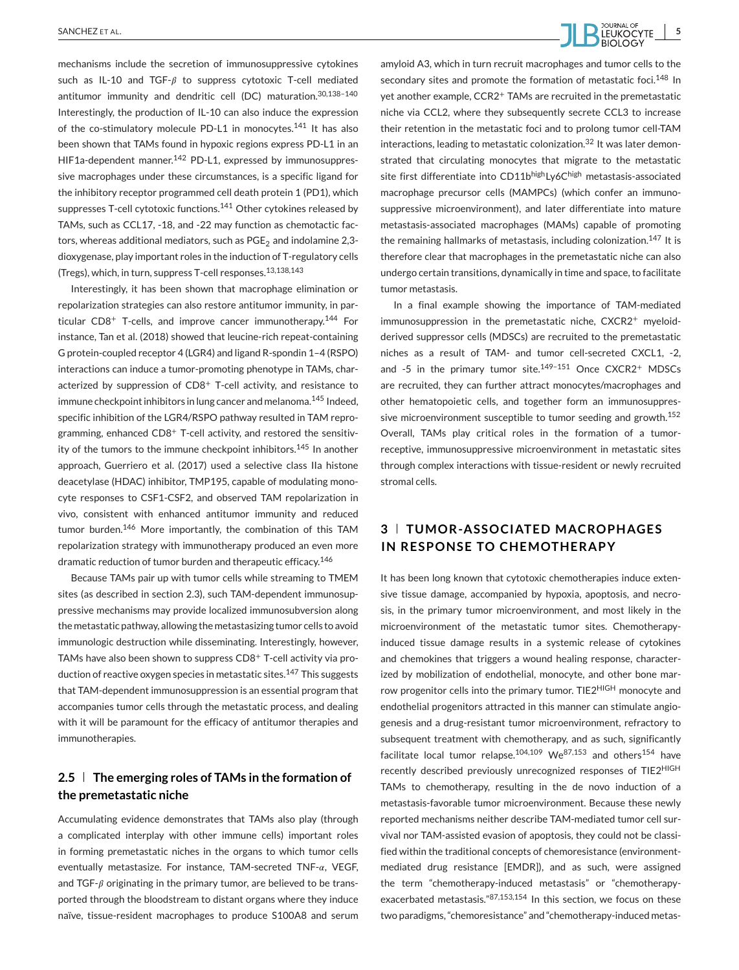

mechanisms include the secretion of immunosuppressive cytokines such as IL-10 and TGF- $\beta$  to suppress cytotoxic T-cell mediated antitumor immunity and dendritic cell (DC) maturation.30,138–140 Interestingly, the production of IL-10 can also induce the expression of the co-stimulatory molecule PD-L1 in monocytes.<sup>141</sup> It has also been shown that TAMs found in hypoxic regions express PD-L1 in an HIF1a-dependent manner.<sup>142</sup> PD-L1, expressed by immunosuppressive macrophages under these circumstances, is a specific ligand for the inhibitory receptor programmed cell death protein 1 (PD1), which suppresses T-cell cytotoxic functions.<sup>141</sup> Other cytokines released by TAMs, such as CCL17, -18, and -22 may function as chemotactic factors, whereas additional mediators, such as  $PGE_2$  and indolamine 2,3dioxygenase, play important roles in the induction of T-regulatory cells (Tregs), which, in turn, suppress T-cell responses.13,138,143

Interestingly, it has been shown that macrophage elimination or repolarization strategies can also restore antitumor immunity, in particular  $CD8<sup>+</sup>$  T-cells, and improve cancer immunotherapy.<sup>144</sup> For instance, Tan et al. (2018) showed that leucine-rich repeat-containing G protein-coupled receptor 4 (LGR4) and ligand R-spondin 1–4 (RSPO) interactions can induce a tumor-promoting phenotype in TAMs, characterized by suppression of CD8<sup>+</sup> T-cell activity, and resistance to immune checkpoint inhibitors in lung cancer and melanoma.<sup>145</sup> Indeed, specific inhibition of the LGR4/RSPO pathway resulted in TAM reprogramming, enhanced CD8<sup>+</sup> T-cell activity, and restored the sensitivity of the tumors to the immune checkpoint inhibitors.<sup>145</sup> In another approach, Guerriero et al. (2017) used a selective class IIa histone deacetylase (HDAC) inhibitor, TMP195, capable of modulating monocyte responses to CSF1-CSF2, and observed TAM repolarization in vivo, consistent with enhanced antitumor immunity and reduced tumor burden.<sup>146</sup> More importantly, the combination of this TAM repolarization strategy with immunotherapy produced an even more dramatic reduction of tumor burden and therapeutic efficacy.<sup>146</sup>

Because TAMs pair up with tumor cells while streaming to TMEM sites (as described in section 2.3), such TAM-dependent immunosuppressive mechanisms may provide localized immunosubversion along the metastatic pathway, allowing the metastasizing tumor cells to avoid immunologic destruction while disseminating. Interestingly, however, TAMs have also been shown to suppress CD8+ T-cell activity via production of reactive oxygen species in metastatic sites.<sup>147</sup> This suggests that TAM-dependent immunosuppression is an essential program that accompanies tumor cells through the metastatic process, and dealing with it will be paramount for the efficacy of antitumor therapies and immunotherapies.

## **2.5 The emerging roles of TAMs in the formation of the premetastatic niche**

Accumulating evidence demonstrates that TAMs also play (through a complicated interplay with other immune cells) important roles in forming premetastatic niches in the organs to which tumor cells eventually metastasize. For instance, TAM-secreted  $TNF-\alpha$ , VEGF, and TGF- $\beta$  originating in the primary tumor, are believed to be transported through the bloodstream to distant organs where they induce naïve, tissue-resident macrophages to produce S100A8 and serum

amyloid A3, which in turn recruit macrophages and tumor cells to the secondary sites and promote the formation of metastatic foci.<sup>148</sup> In yet another example, CCR2<sup>+</sup> TAMs are recruited in the premetastatic niche via CCL2, where they subsequently secrete CCL3 to increase their retention in the metastatic foci and to prolong tumor cell-TAM interactions, leading to metastatic colonization.<sup>32</sup> It was later demonstrated that circulating monocytes that migrate to the metastatic site first differentiate into CD11bhighLy6Chigh metastasis-associated macrophage precursor cells (MAMPCs) (which confer an immunosuppressive microenvironment), and later differentiate into mature metastasis-associated macrophages (MAMs) capable of promoting the remaining hallmarks of metastasis, including colonization.<sup>147</sup> It is therefore clear that macrophages in the premetastatic niche can also undergo certain transitions, dynamically in time and space, to facilitate tumor metastasis.

In a final example showing the importance of TAM-mediated immunosuppression in the premetastatic niche, CXCR2<sup>+</sup> myeloidderived suppressor cells (MDSCs) are recruited to the premetastatic niches as a result of TAM- and tumor cell-secreted CXCL1, -2, and -5 in the primary tumor site. $149-151$  Once CXCR2+ MDSCs are recruited, they can further attract monocytes/macrophages and other hematopoietic cells, and together form an immunosuppressive microenvironment susceptible to tumor seeding and growth.<sup>152</sup> Overall, TAMs play critical roles in the formation of a tumorreceptive, immunosuppressive microenvironment in metastatic sites through complex interactions with tissue-resident or newly recruited stromal cells.

# **3 TUMOR-ASSOCIATED MACROPHAGES IN RESPONSE TO CHEMOTHERAPY**

It has been long known that cytotoxic chemotherapies induce extensive tissue damage, accompanied by hypoxia, apoptosis, and necrosis, in the primary tumor microenvironment, and most likely in the microenvironment of the metastatic tumor sites. Chemotherapyinduced tissue damage results in a systemic release of cytokines and chemokines that triggers a wound healing response, characterized by mobilization of endothelial, monocyte, and other bone marrow progenitor cells into the primary tumor. TIE2<sup>HIGH</sup> monocyte and endothelial progenitors attracted in this manner can stimulate angiogenesis and a drug-resistant tumor microenvironment, refractory to subsequent treatment with chemotherapy, and as such, significantly facilitate local tumor relapse.<sup>104,109</sup> We<sup>87,153</sup> and others<sup>154</sup> have recently described previously unrecognized responses of TIE2HIGH TAMs to chemotherapy, resulting in the de novo induction of a metastasis-favorable tumor microenvironment. Because these newly reported mechanisms neither describe TAM-mediated tumor cell survival nor TAM-assisted evasion of apoptosis, they could not be classified within the traditional concepts of chemoresistance (environmentmediated drug resistance [EMDR]), and as such, were assigned the term "chemotherapy-induced metastasis" or "chemotherapyexacerbated metastasis."87,153,154 In this section, we focus on these two paradigms, "chemoresistance" and "chemotherapy-induced metas-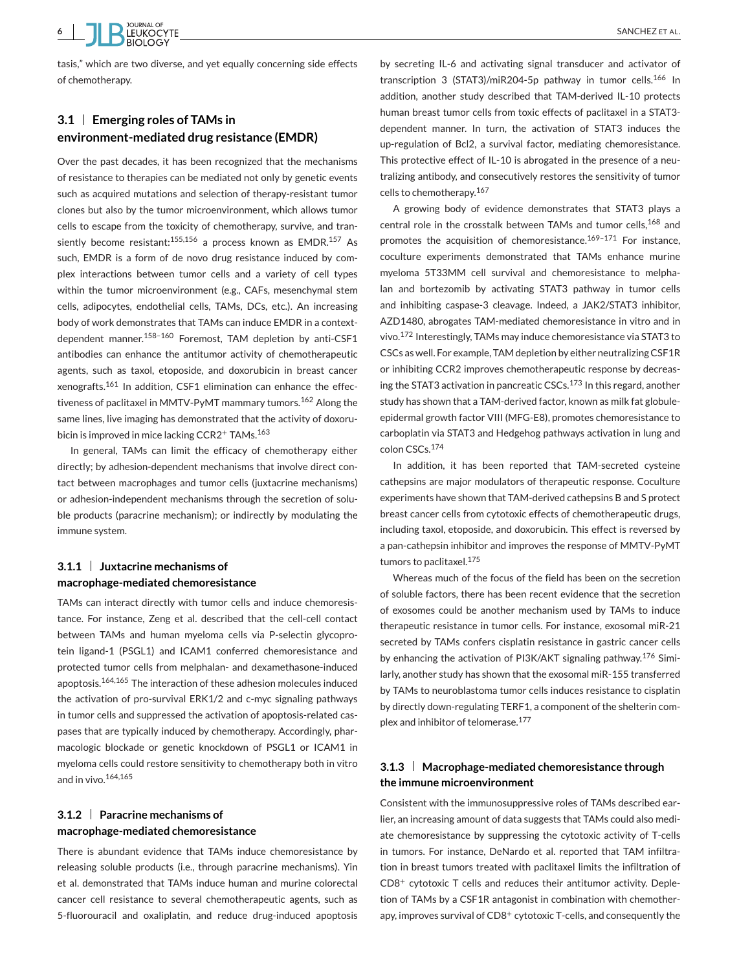

tasis," which are two diverse, and yet equally concerning side effects of chemotherapy.

# **3.1 Emerging roles of TAMs in environment-mediated drug resistance (EMDR)**

Over the past decades, it has been recognized that the mechanisms of resistance to therapies can be mediated not only by genetic events such as acquired mutations and selection of therapy-resistant tumor clones but also by the tumor microenvironment, which allows tumor cells to escape from the toxicity of chemotherapy, survive, and transiently become resistant:<sup>155,156</sup> a process known as  $EMDR$ <sup>157</sup> As such, EMDR is a form of de novo drug resistance induced by complex interactions between tumor cells and a variety of cell types within the tumor microenvironment (e.g., CAFs, mesenchymal stem cells, adipocytes, endothelial cells, TAMs, DCs, etc.). An increasing body of work demonstrates that TAMs can induce EMDR in a contextdependent manner.158–160 Foremost, TAM depletion by anti-CSF1 antibodies can enhance the antitumor activity of chemotherapeutic agents, such as taxol, etoposide, and doxorubicin in breast cancer xenografts.<sup>161</sup> In addition, CSF1 elimination can enhance the effectiveness of paclitaxel in MMTV-PyMT mammary tumors.<sup>162</sup> Along the same lines, live imaging has demonstrated that the activity of doxorubicin is improved in mice lacking CCR2<sup>+</sup> TAMs.<sup>163</sup>

In general, TAMs can limit the efficacy of chemotherapy either directly; by adhesion-dependent mechanisms that involve direct contact between macrophages and tumor cells (juxtacrine mechanisms) or adhesion-independent mechanisms through the secretion of soluble products (paracrine mechanism); or indirectly by modulating the immune system.

## **3.1.1 Juxtacrine mechanisms of macrophage-mediated chemoresistance**

TAMs can interact directly with tumor cells and induce chemoresistance. For instance, Zeng et al. described that the cell-cell contact between TAMs and human myeloma cells via P-selectin glycoprotein ligand-1 (PSGL1) and ICAM1 conferred chemoresistance and protected tumor cells from melphalan- and dexamethasone-induced apoptosis.164,165 The interaction of these adhesion molecules induced the activation of pro-survival ERK1/2 and c-myc signaling pathways in tumor cells and suppressed the activation of apoptosis-related caspases that are typically induced by chemotherapy. Accordingly, pharmacologic blockade or genetic knockdown of PSGL1 or ICAM1 in myeloma cells could restore sensitivity to chemotherapy both in vitro and in vivo.164,165

## **3.1.2 Paracrine mechanisms of macrophage-mediated chemoresistance**

There is abundant evidence that TAMs induce chemoresistance by releasing soluble products (i.e., through paracrine mechanisms). Yin et al. demonstrated that TAMs induce human and murine colorectal cancer cell resistance to several chemotherapeutic agents, such as 5-fluorouracil and oxaliplatin, and reduce drug-induced apoptosis by secreting IL-6 and activating signal transducer and activator of transcription 3 (STAT3)/miR204-5p pathway in tumor cells.<sup>166</sup> In addition, another study described that TAM-derived IL-10 protects human breast tumor cells from toxic effects of paclitaxel in a STAT3 dependent manner. In turn, the activation of STAT3 induces the up-regulation of Bcl2, a survival factor, mediating chemoresistance. This protective effect of IL-10 is abrogated in the presence of a neutralizing antibody, and consecutively restores the sensitivity of tumor cells to chemotherapy.<sup>167</sup>

A growing body of evidence demonstrates that STAT3 plays a central role in the crosstalk between TAMs and tumor cells,<sup>168</sup> and promotes the acquisition of chemoresistance.<sup>169-171</sup> For instance. coculture experiments demonstrated that TAMs enhance murine myeloma 5T33MM cell survival and chemoresistance to melphalan and bortezomib by activating STAT3 pathway in tumor cells and inhibiting caspase-3 cleavage. Indeed, a JAK2/STAT3 inhibitor, AZD1480, abrogates TAM-mediated chemoresistance in vitro and in vivo.<sup>172</sup> Interestingly, TAMs may induce chemoresistance via STAT3 to CSCs as well. For example, TAM depletion by either neutralizing CSF1R or inhibiting CCR2 improves chemotherapeutic response by decreasing the STAT3 activation in pancreatic CSCs.<sup>173</sup> In this regard, another study has shown that a TAM-derived factor, known as milk fat globuleepidermal growth factor VIII (MFG-E8), promotes chemoresistance to carboplatin via STAT3 and Hedgehog pathways activation in lung and colon CSCs.<sup>174</sup>

In addition, it has been reported that TAM-secreted cysteine cathepsins are major modulators of therapeutic response. Coculture experiments have shown that TAM-derived cathepsins B and S protect breast cancer cells from cytotoxic effects of chemotherapeutic drugs, including taxol, etoposide, and doxorubicin. This effect is reversed by a pan-cathepsin inhibitor and improves the response of MMTV-PyMT tumors to paclitaxel.<sup>175</sup>

Whereas much of the focus of the field has been on the secretion of soluble factors, there has been recent evidence that the secretion of exosomes could be another mechanism used by TAMs to induce therapeutic resistance in tumor cells. For instance, exosomal miR-21 secreted by TAMs confers cisplatin resistance in gastric cancer cells by enhancing the activation of PI3K/AKT signaling pathway.<sup>176</sup> Similarly, another study has shown that the exosomal miR-155 transferred by TAMs to neuroblastoma tumor cells induces resistance to cisplatin by directly down-regulating TERF1, a component of the shelterin complex and inhibitor of telomerase.<sup>177</sup>

## **3.1.3 Macrophage-mediated chemoresistance through the immune microenvironment**

Consistent with the immunosuppressive roles of TAMs described earlier, an increasing amount of data suggests that TAMs could also mediate chemoresistance by suppressing the cytotoxic activity of T-cells in tumors. For instance, DeNardo et al. reported that TAM infiltration in breast tumors treated with paclitaxel limits the infiltration of CD8<sup>+</sup> cytotoxic T cells and reduces their antitumor activity. Depletion of TAMs by a CSF1R antagonist in combination with chemotherapy, improves survival of CD8<sup>+</sup> cytotoxic T-cells, and consequently the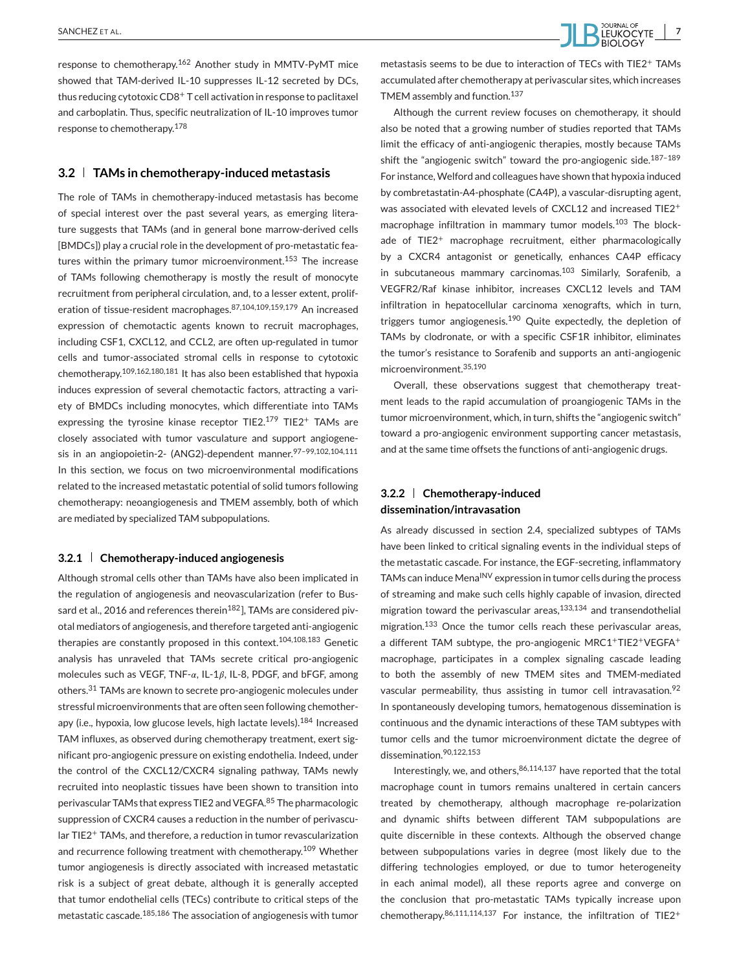

response to chemotherapy.<sup>162</sup> Another study in MMTV-PyMT mice showed that TAM-derived IL-10 suppresses IL-12 secreted by DCs, thus reducing cytotoxic CD8<sup>+</sup> T cell activation in response to paclitaxel and carboplatin. Thus, specific neutralization of IL-10 improves tumor response to chemotherapy.<sup>178</sup>

#### **3.2 TAMs in chemotherapy-induced metastasis**

The role of TAMs in chemotherapy-induced metastasis has become of special interest over the past several years, as emerging literature suggests that TAMs (and in general bone marrow-derived cells [BMDCs]) play a crucial role in the development of pro-metastatic features within the primary tumor microenvironment.<sup>153</sup> The increase of TAMs following chemotherapy is mostly the result of monocyte recruitment from peripheral circulation, and, to a lesser extent, proliferation of tissue-resident macrophages.87,104,109,159,179 An increased expression of chemotactic agents known to recruit macrophages, including CSF1, CXCL12, and CCL2, are often up-regulated in tumor cells and tumor-associated stromal cells in response to cytotoxic chemotherapy.109,162,180,181 It has also been established that hypoxia induces expression of several chemotactic factors, attracting a variety of BMDCs including monocytes, which differentiate into TAMs expressing the tyrosine kinase receptor TIE2.<sup>179</sup> TIE2<sup>+</sup> TAMs are closely associated with tumor vasculature and support angiogenesis in an angiopoietin-2- (ANG2)-dependent manner.97-99,102,104,111 In this section, we focus on two microenvironmental modifications related to the increased metastatic potential of solid tumors following chemotherapy: neoangiogenesis and TMEM assembly, both of which are mediated by specialized TAM subpopulations.

#### **3.2.1 Chemotherapy-induced angiogenesis**

Although stromal cells other than TAMs have also been implicated in the regulation of angiogenesis and neovascularization (refer to Bussard et al., 2016 and references therein<sup>182</sup>], TAMs are considered pivotal mediators of angiogenesis, and therefore targeted anti-angiogenic therapies are constantly proposed in this context.<sup>104,108,183</sup> Genetic analysis has unraveled that TAMs secrete critical pro-angiogenic molecules such as VEGF, TNF- $\alpha$ , IL-1 $\beta$ , IL-8, PDGF, and bFGF, among others.<sup>31</sup> TAMs are known to secrete pro-angiogenic molecules under stressful microenvironments that are often seen following chemotherapy (i.e., hypoxia, low glucose levels, high lactate levels).<sup>184</sup> Increased TAM influxes, as observed during chemotherapy treatment, exert significant pro-angiogenic pressure on existing endothelia. Indeed, under the control of the CXCL12/CXCR4 signaling pathway, TAMs newly recruited into neoplastic tissues have been shown to transition into perivascular TAMs that express TIE2 and VEGFA.<sup>85</sup> The pharmacologic suppression of CXCR4 causes a reduction in the number of perivascular TIE2<sup>+</sup> TAMs, and therefore, a reduction in tumor revascularization and recurrence following treatment with chemotherapy.<sup>109</sup> Whether tumor angiogenesis is directly associated with increased metastatic risk is a subject of great debate, although it is generally accepted that tumor endothelial cells (TECs) contribute to critical steps of the metastatic cascade.185,186 The association of angiogenesis with tumor

metastasis seems to be due to interaction of TECs with TIE2<sup>+</sup> TAMs accumulated after chemotherapy at perivascular sites, which increases TMEM assembly and function.<sup>137</sup>

Although the current review focuses on chemotherapy, it should also be noted that a growing number of studies reported that TAMs limit the efficacy of anti-angiogenic therapies, mostly because TAMs shift the "angiogenic switch" toward the pro-angiogenic side.<sup>187-189</sup> For instance, Welford and colleagues have shown that hypoxia induced by combretastatin-A4-phosphate (CA4P), a vascular-disrupting agent, was associated with elevated levels of CXCL12 and increased TIE2<sup>+</sup> macrophage infiltration in mammary tumor models.<sup>103</sup> The blockade of TIE2<sup>+</sup> macrophage recruitment, either pharmacologically by a CXCR4 antagonist or genetically, enhances CA4P efficacy in subcutaneous mammary carcinomas.<sup>103</sup> Similarly, Sorafenib, a VEGFR2/Raf kinase inhibitor, increases CXCL12 levels and TAM infiltration in hepatocellular carcinoma xenografts, which in turn, triggers tumor angiogenesis.<sup>190</sup> Quite expectedly, the depletion of TAMs by clodronate, or with a specific CSF1R inhibitor, eliminates the tumor's resistance to Sorafenib and supports an anti-angiogenic microenvironment.35,190

Overall, these observations suggest that chemotherapy treatment leads to the rapid accumulation of proangiogenic TAMs in the tumor microenvironment, which, in turn, shifts the "angiogenic switch" toward a pro-angiogenic environment supporting cancer metastasis, and at the same time offsets the functions of anti-angiogenic drugs.

## **3.2.2 Chemotherapy-induced dissemination/intravasation**

As already discussed in section 2.4, specialized subtypes of TAMs have been linked to critical signaling events in the individual steps of the metastatic cascade. For instance, the EGF-secreting, inflammatory TAMs can induce Mena<sup>INV</sup> expression in tumor cells during the process of streaming and make such cells highly capable of invasion, directed migration toward the perivascular areas,<sup>133,134</sup> and transendothelial migration.<sup>133</sup> Once the tumor cells reach these perivascular areas, a different TAM subtype, the pro-angiogenic MRC1+TIE2+VEGFA<sup>+</sup> macrophage, participates in a complex signaling cascade leading to both the assembly of new TMEM sites and TMEM-mediated vascular permeability, thus assisting in tumor cell intravasation.<sup>92</sup> In spontaneously developing tumors, hematogenous dissemination is continuous and the dynamic interactions of these TAM subtypes with tumor cells and the tumor microenvironment dictate the degree of dissemination.90,122,153

Interestingly, we, and others,  $86,114,137$  have reported that the total macrophage count in tumors remains unaltered in certain cancers treated by chemotherapy, although macrophage re-polarization and dynamic shifts between different TAM subpopulations are quite discernible in these contexts. Although the observed change between subpopulations varies in degree (most likely due to the differing technologies employed, or due to tumor heterogeneity in each animal model), all these reports agree and converge on the conclusion that pro-metastatic TAMs typically increase upon chemotherapy.  $86,111,114,137$  For instance, the infiltration of TIE2<sup>+</sup>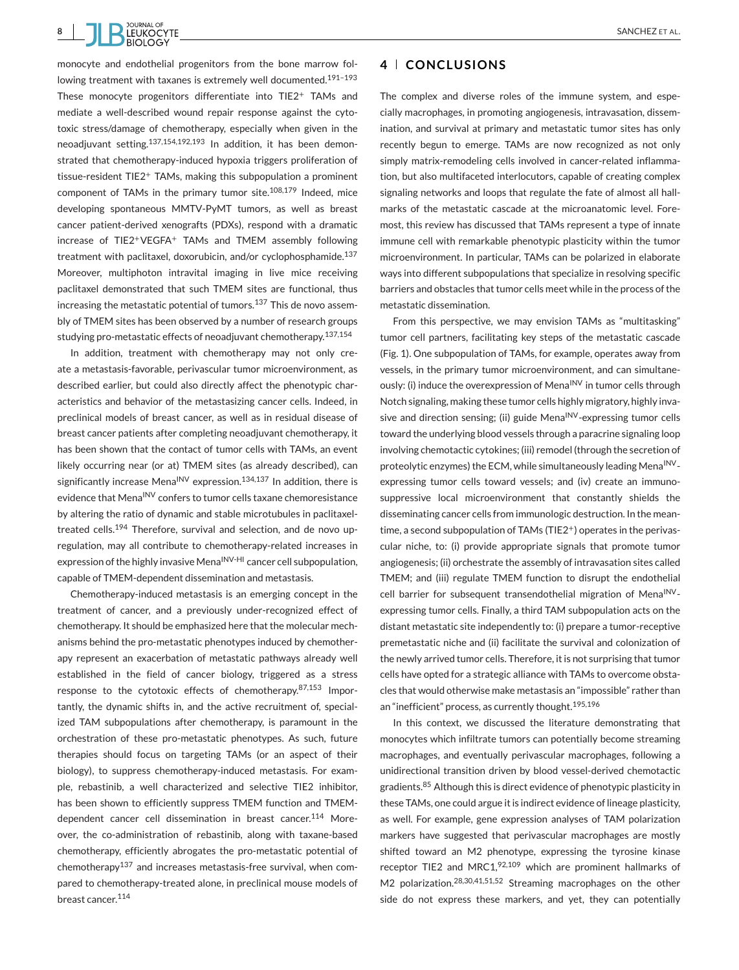

monocyte and endothelial progenitors from the bone marrow following treatment with taxanes is extremely well documented.<sup>191-193</sup> These monocyte progenitors differentiate into TIE2<sup>+</sup> TAMs and mediate a well-described wound repair response against the cytotoxic stress/damage of chemotherapy, especially when given in the neoadjuvant setting.137,154,192,193 In addition, it has been demonstrated that chemotherapy-induced hypoxia triggers proliferation of tissue-resident TIE2<sup>+</sup> TAMs, making this subpopulation a prominent component of TAMs in the primary tumor site.108,179 Indeed, mice developing spontaneous MMTV-PyMT tumors, as well as breast cancer patient-derived xenografts (PDXs), respond with a dramatic increase of TIE2+VEGFA<sup>+</sup> TAMs and TMEM assembly following treatment with paclitaxel, doxorubicin, and/or cyclophosphamide.<sup>137</sup> Moreover, multiphoton intravital imaging in live mice receiving paclitaxel demonstrated that such TMEM sites are functional, thus increasing the metastatic potential of tumors.<sup>137</sup> This de novo assembly of TMEM sites has been observed by a number of research groups studying pro-metastatic effects of neoadjuvant chemotherapy.137,154

In addition, treatment with chemotherapy may not only create a metastasis-favorable, perivascular tumor microenvironment, as described earlier, but could also directly affect the phenotypic characteristics and behavior of the metastasizing cancer cells. Indeed, in preclinical models of breast cancer, as well as in residual disease of breast cancer patients after completing neoadjuvant chemotherapy, it has been shown that the contact of tumor cells with TAMs, an event likely occurring near (or at) TMEM sites (as already described), can significantly increase Mena<sup>INV</sup> expression.<sup>134,137</sup> In addition, there is evidence that Mena<sup>INV</sup> confers to tumor cells taxane chemoresistance by altering the ratio of dynamic and stable microtubules in paclitaxeltreated cells.<sup>194</sup> Therefore, survival and selection, and de novo upregulation, may all contribute to chemotherapy-related increases in expression of the highly invasive Mena<sup>INV-HI</sup> cancer cell subpopulation, capable of TMEM-dependent dissemination and metastasis.

Chemotherapy-induced metastasis is an emerging concept in the treatment of cancer, and a previously under-recognized effect of chemotherapy. It should be emphasized here that the molecular mechanisms behind the pro-metastatic phenotypes induced by chemotherapy represent an exacerbation of metastatic pathways already well established in the field of cancer biology, triggered as a stress response to the cytotoxic effects of chemotherapy.87,153 Importantly, the dynamic shifts in, and the active recruitment of, specialized TAM subpopulations after chemotherapy, is paramount in the orchestration of these pro-metastatic phenotypes. As such, future therapies should focus on targeting TAMs (or an aspect of their biology), to suppress chemotherapy-induced metastasis. For example, rebastinib, a well characterized and selective TIE2 inhibitor, has been shown to efficiently suppress TMEM function and TMEMdependent cancer cell dissemination in breast cancer.<sup>114</sup> Moreover, the co-administration of rebastinib, along with taxane-based chemotherapy, efficiently abrogates the pro-metastatic potential of chemotherapy<sup>137</sup> and increases metastasis-free survival, when compared to chemotherapy-treated alone, in preclinical mouse models of breast cancer.<sup>114</sup>

### **4 CONCLUSIONS**

The complex and diverse roles of the immune system, and especially macrophages, in promoting angiogenesis, intravasation, dissemination, and survival at primary and metastatic tumor sites has only recently begun to emerge. TAMs are now recognized as not only simply matrix-remodeling cells involved in cancer-related inflammation, but also multifaceted interlocutors, capable of creating complex signaling networks and loops that regulate the fate of almost all hallmarks of the metastatic cascade at the microanatomic level. Foremost, this review has discussed that TAMs represent a type of innate immune cell with remarkable phenotypic plasticity within the tumor microenvironment. In particular, TAMs can be polarized in elaborate ways into different subpopulations that specialize in resolving specific barriers and obstacles that tumor cells meet while in the process of the metastatic dissemination.

From this perspective, we may envision TAMs as "multitasking" tumor cell partners, facilitating key steps of the metastatic cascade (Fig. 1). One subpopulation of TAMs, for example, operates away from vessels, in the primary tumor microenvironment, and can simultaneously: (i) induce the overexpression of Mena<sup>INV</sup> in tumor cells through Notch signaling, making these tumor cells highly migratory, highly invasive and direction sensing; (ii) guide Mena<sup>INV</sup>-expressing tumor cells toward the underlying blood vessels through a paracrine signaling loop involving chemotactic cytokines; (iii) remodel (through the secretion of proteolytic enzymes) the ECM, while simultaneously leading Mena<sup>INV</sup>expressing tumor cells toward vessels; and (iv) create an immunosuppressive local microenvironment that constantly shields the disseminating cancer cells from immunologic destruction. In the meantime, a second subpopulation of TAMs (TIE2<sup>+</sup>) operates in the perivascular niche, to: (i) provide appropriate signals that promote tumor angiogenesis; (ii) orchestrate the assembly of intravasation sites called TMEM; and (iii) regulate TMEM function to disrupt the endothelial cell barrier for subsequent transendothelial migration of Mena<sup>INV</sup>expressing tumor cells. Finally, a third TAM subpopulation acts on the distant metastatic site independently to: (i) prepare a tumor-receptive premetastatic niche and (ii) facilitate the survival and colonization of the newly arrived tumor cells. Therefore, it is not surprising that tumor cells have opted for a strategic alliance with TAMs to overcome obstacles that would otherwise make metastasis an "impossible" rather than an "inefficient" process, as currently thought.195,196

In this context, we discussed the literature demonstrating that monocytes which infiltrate tumors can potentially become streaming macrophages, and eventually perivascular macrophages, following a unidirectional transition driven by blood vessel-derived chemotactic gradients.<sup>85</sup> Although this is direct evidence of phenotypic plasticity in these TAMs, one could argue it is indirect evidence of lineage plasticity, as well. For example, gene expression analyses of TAM polarization markers have suggested that perivascular macrophages are mostly shifted toward an M2 phenotype, expressing the tyrosine kinase receptor TIE2 and MRC1,<sup>92,109</sup> which are prominent hallmarks of M2 polarization.28,30,41,51,52 Streaming macrophages on the other side do not express these markers, and yet, they can potentially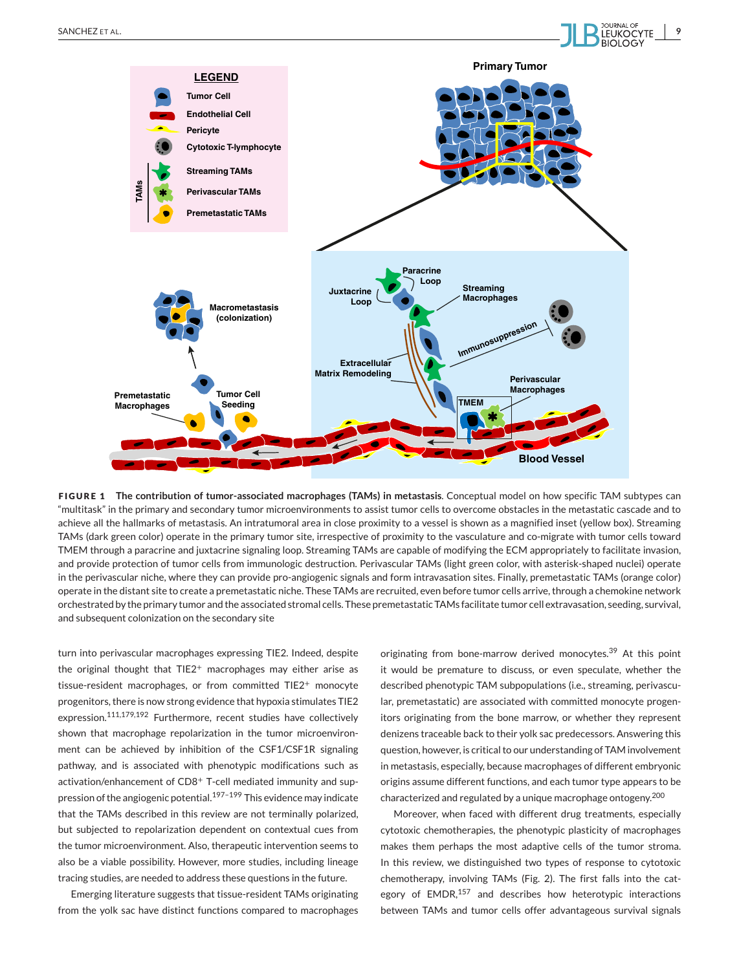

**FIGURE 1 The contribution of tumor-associated macrophages (TAMs) in metastasis**. Conceptual model on how specific TAM subtypes can "multitask" in the primary and secondary tumor microenvironments to assist tumor cells to overcome obstacles in the metastatic cascade and to achieve all the hallmarks of metastasis. An intratumoral area in close proximity to a vessel is shown as a magnified inset (yellow box). Streaming TAMs (dark green color) operate in the primary tumor site, irrespective of proximity to the vasculature and co-migrate with tumor cells toward TMEM through a paracrine and juxtacrine signaling loop. Streaming TAMs are capable of modifying the ECM appropriately to facilitate invasion, and provide protection of tumor cells from immunologic destruction. Perivascular TAMs (light green color, with asterisk-shaped nuclei) operate in the perivascular niche, where they can provide pro-angiogenic signals and form intravasation sites. Finally, premetastatic TAMs (orange color) operate in the distant site to create a premetastatic niche. These TAMs are recruited, even before tumor cells arrive, through a chemokine network orchestrated by the primary tumor and the associated stromal cells. These premetastatic TAMs facilitate tumor cell extravasation, seeding, survival, and subsequent colonization on the secondary site

turn into perivascular macrophages expressing TIE2. Indeed, despite the original thought that  $TIE2^+$  macrophages may either arise as tissue-resident macrophages, or from committed TIE2<sup>+</sup> monocyte progenitors, there is now strong evidence that hypoxia stimulates TIE2 expression.<sup>111,179,192</sup> Furthermore, recent studies have collectively shown that macrophage repolarization in the tumor microenvironment can be achieved by inhibition of the CSF1/CSF1R signaling pathway, and is associated with phenotypic modifications such as activation/enhancement of CD8<sup>+</sup> T-cell mediated immunity and suppression of the angiogenic potential.<sup>197-199</sup> This evidence may indicate that the TAMs described in this review are not terminally polarized, but subjected to repolarization dependent on contextual cues from the tumor microenvironment. Also, therapeutic intervention seems to also be a viable possibility. However, more studies, including lineage tracing studies, are needed to address these questions in the future.

Emerging literature suggests that tissue-resident TAMs originating from the yolk sac have distinct functions compared to macrophages originating from bone-marrow derived monocytes.<sup>39</sup> At this point it would be premature to discuss, or even speculate, whether the described phenotypic TAM subpopulations (i.e., streaming, perivascular, premetastatic) are associated with committed monocyte progenitors originating from the bone marrow, or whether they represent denizens traceable back to their yolk sac predecessors. Answering this question, however, is critical to our understanding of TAM involvement in metastasis, especially, because macrophages of different embryonic origins assume different functions, and each tumor type appears to be characterized and regulated by a unique macrophage ontogeny.<sup>200</sup>

Moreover, when faced with different drug treatments, especially cytotoxic chemotherapies, the phenotypic plasticity of macrophages makes them perhaps the most adaptive cells of the tumor stroma. In this review, we distinguished two types of response to cytotoxic chemotherapy, involving TAMs (Fig. 2). The first falls into the category of EMDR,<sup>157</sup> and describes how heterotypic interactions between TAMs and tumor cells offer advantageous survival signals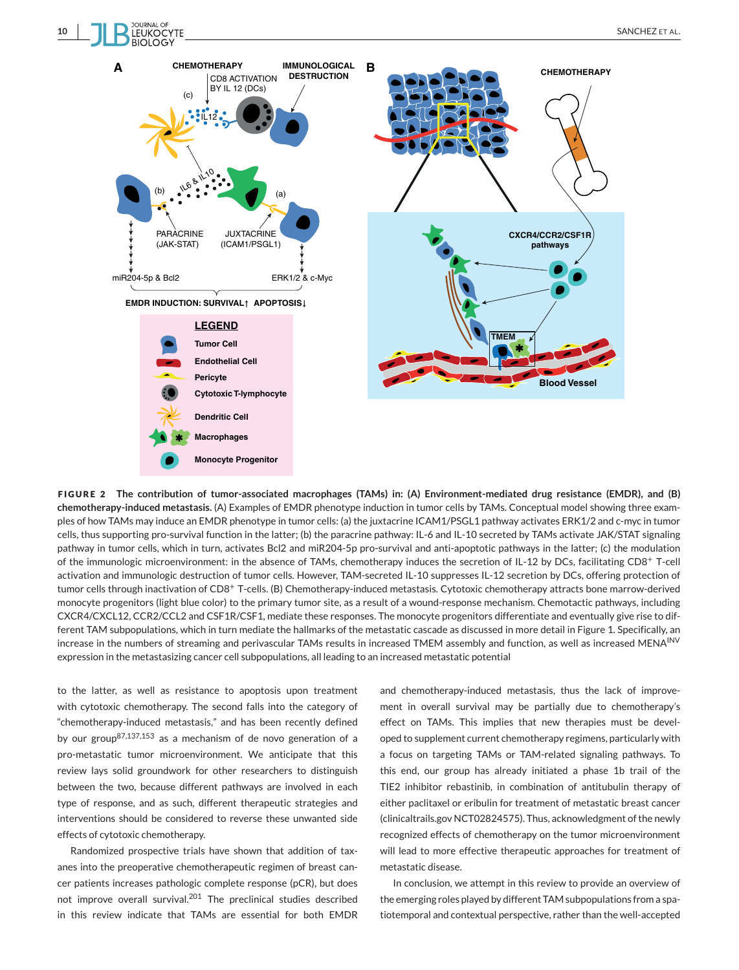

**FIGURE 2 The contribution of tumor-associated macrophages (TAMs) in: (A) Environment-mediated drug resistance (EMDR), and (B) chemotherapy-induced metastasis.** (A) Examples of EMDR phenotype induction in tumor cells by TAMs. Conceptual model showing three examples of how TAMs may induce an EMDR phenotype in tumor cells: (a) the juxtacrine ICAM1/PSGL1 pathway activates ERK1/2 and c-myc in tumor cells, thus supporting pro-survival function in the latter; (b) the paracrine pathway: IL-6 and IL-10 secreted by TAMs activate JAK/STAT signaling pathway in tumor cells, which in turn, activates Bcl2 and miR204-5p pro-survival and anti-apoptotic pathways in the latter; (c) the modulation of the immunologic microenvironment: in the absence of TAMs, chemotherapy induces the secretion of IL-12 by DCs, facilitating CD8<sup>+</sup> T-cell activation and immunologic destruction of tumor cells. However, TAM-secreted IL-10 suppresses IL-12 secretion by DCs, offering protection of tumor cells through inactivation of CD8<sup>+</sup> T-cells. (B) Chemotherapy-induced metastasis. Cytotoxic chemotherapy attracts bone marrow-derived monocyte progenitors (light blue color) to the primary tumor site, as a result of a wound-response mechanism. Chemotactic pathways, including CXCR4/CXCL12, CCR2/CCL2 and CSF1R/CSF1, mediate these responses. The monocyte progenitors differentiate and eventually give rise to different TAM subpopulations, which in turn mediate the hallmarks of the metastatic cascade as discussed in more detail in Figure 1. Specifically, an increase in the numbers of streaming and perivascular TAMs results in increased TMEM assembly and function, as well as increased MENA<sup>INV</sup> expression in the metastasizing cancer cell subpopulations, all leading to an increased metastatic potential

to the latter, as well as resistance to apoptosis upon treatment with cytotoxic chemotherapy. The second falls into the category of "chemotherapy-induced metastasis," and has been recently defined by our group87,137,153 as a mechanism of de novo generation of a pro-metastatic tumor microenvironment. We anticipate that this review lays solid groundwork for other researchers to distinguish between the two, because different pathways are involved in each type of response, and as such, different therapeutic strategies and interventions should be considered to reverse these unwanted side effects of cytotoxic chemotherapy.

Randomized prospective trials have shown that addition of taxanes into the preoperative chemotherapeutic regimen of breast cancer patients increases pathologic complete response (pCR), but does not improve overall survival.<sup>201</sup> The preclinical studies described in this review indicate that TAMs are essential for both EMDR and chemotherapy-induced metastasis, thus the lack of improvement in overall survival may be partially due to chemotherapy's effect on TAMs. This implies that new therapies must be developed to supplement current chemotherapy regimens, particularly with a focus on targeting TAMs or TAM-related signaling pathways. To this end, our group has already initiated a phase 1b trail of the TIE2 inhibitor rebastinib, in combination of antitubulin therapy of either paclitaxel or eribulin for treatment of metastatic breast cancer (clinicaltrails.gov NCT02824575). Thus, acknowledgment of the newly recognized effects of chemotherapy on the tumor microenvironment will lead to more effective therapeutic approaches for treatment of metastatic disease.

In conclusion, we attempt in this review to provide an overview of the emerging roles played by different TAM subpopulations from a spatiotemporal and contextual perspective, rather than the well-accepted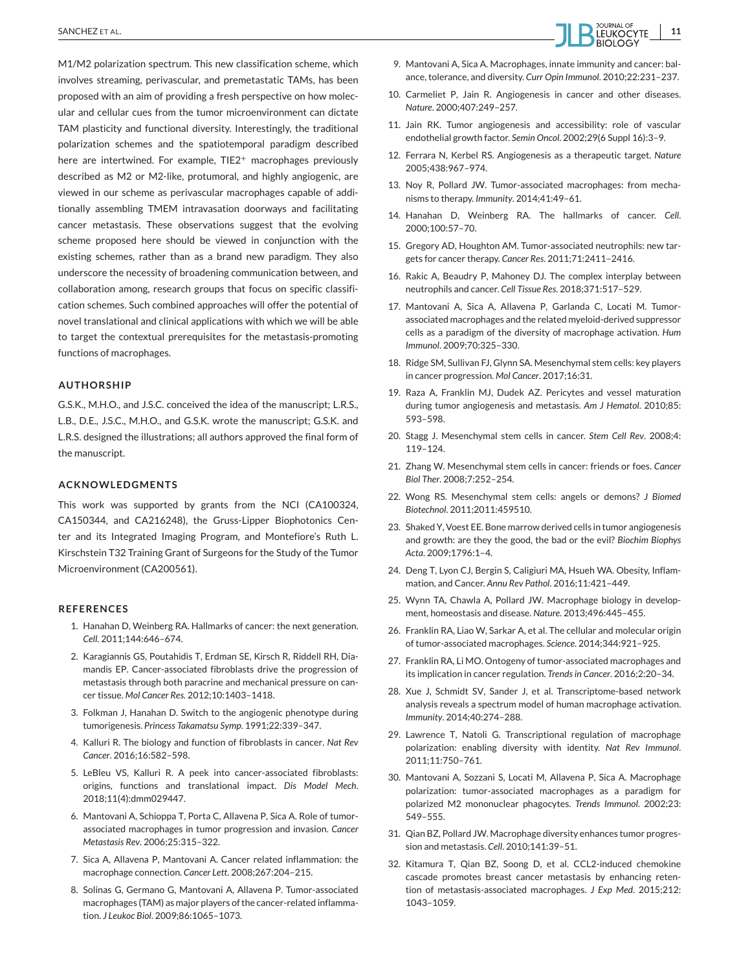M1/M2 polarization spectrum. This new classification scheme, which involves streaming, perivascular, and premetastatic TAMs, has been proposed with an aim of providing a fresh perspective on how molecular and cellular cues from the tumor microenvironment can dictate TAM plasticity and functional diversity. Interestingly, the traditional polarization schemes and the spatiotemporal paradigm described here are intertwined. For example, TIE2<sup>+</sup> macrophages previously described as M2 or M2-like, protumoral, and highly angiogenic, are viewed in our scheme as perivascular macrophages capable of additionally assembling TMEM intravasation doorways and facilitating cancer metastasis. These observations suggest that the evolving scheme proposed here should be viewed in conjunction with the existing schemes, rather than as a brand new paradigm. They also underscore the necessity of broadening communication between, and collaboration among, research groups that focus on specific classification schemes. Such combined approaches will offer the potential of novel translational and clinical applications with which we will be able to target the contextual prerequisites for the metastasis-promoting functions of macrophages.

#### **AUTHORSHIP**

G.S.K., M.H.O., and J.S.C. conceived the idea of the manuscript; L.R.S., L.B., D.E., J.S.C., M.H.O., and G.S.K. wrote the manuscript; G.S.K. and L.R.S. designed the illustrations; all authors approved the final form of the manuscript.

#### **ACKNOWLEDGMENTS**

This work was supported by grants from the NCI (CA100324, CA150344, and CA216248), the Gruss-Lipper Biophotonics Center and its Integrated Imaging Program, and Montefiore's Ruth L. Kirschstein T32 Training Grant of Surgeons for the Study of the Tumor Microenvironment (CA200561).

#### **REFERENCES**

- 1. Hanahan D, Weinberg RA. Hallmarks of cancer: the next generation. *Cell.* 2011;144:646–674.
- 2. Karagiannis GS, Poutahidis T, Erdman SE, Kirsch R, Riddell RH, Diamandis EP. Cancer-associated fibroblasts drive the progression of metastasis through both paracrine and mechanical pressure on cancer tissue. *Mol Cancer Res.* 2012;10:1403–1418.
- 3. Folkman J, Hanahan D. Switch to the angiogenic phenotype during tumorigenesis. *Princess Takamatsu Symp.* 1991;22:339–347.
- 4. Kalluri R. The biology and function of fibroblasts in cancer. *Nat Rev Cancer*. 2016;16:582–598.
- 5. LeBleu VS, Kalluri R. A peek into cancer-associated fibroblasts: origins, functions and translational impact. *Dis Model Mech*. 2018;11(4):dmm029447.
- 6. Mantovani A, Schioppa T, Porta C, Allavena P, Sica A. Role of tumorassociated macrophages in tumor progression and invasion. *Cancer Metastasis Rev*. 2006;25:315–322.
- 7. Sica A, Allavena P, Mantovani A. Cancer related inflammation: the macrophage connection. *Cancer Lett*. 2008;267:204–215.
- 8. Solinas G, Germano G, Mantovani A, Allavena P. Tumor-associated macrophages (TAM) as major players of the cancer-related inflammation. *J Leukoc Biol*. 2009;86:1065–1073.



- 9. Mantovani A, Sica A. Macrophages, innate immunity and cancer: balance, tolerance, and diversity. *Curr Opin Immunol*. 2010;22:231–237.
- 10. Carmeliet P, Jain R. Angiogenesis in cancer and other diseases. *Nature*. 2000;407:249–257.
- 11. Jain RK. Tumor angiogenesis and accessibility: role of vascular endothelial growth factor. *Semin Oncol*. 2002;29(6 Suppl 16):3–9.
- 12. Ferrara N, Kerbel RS. Angiogenesis as a therapeutic target. *Nature* 2005;438:967–974.
- 13. Noy R, Pollard JW. Tumor-associated macrophages: from mechanisms to therapy. *Immunity*. 2014;41:49–61.
- 14. Hanahan D, Weinberg RA. The hallmarks of cancer. *Cell*. 2000;100:57–70.
- 15. Gregory AD, Houghton AM. Tumor-associated neutrophils: new targets for cancer therapy. *Cancer Res*. 2011;71:2411–2416.
- 16. Rakic A, Beaudry P, Mahoney DJ. The complex interplay between neutrophils and cancer. *Cell Tissue Res*. 2018;371:517–529.
- 17. Mantovani A, Sica A, Allavena P, Garlanda C, Locati M. Tumorassociated macrophages and the related myeloid-derived suppressor cells as a paradigm of the diversity of macrophage activation. *Hum Immunol*. 2009;70:325–330.
- 18. Ridge SM, Sullivan FJ, Glynn SA. Mesenchymal stem cells: key players in cancer progression. *Mol Cancer*. 2017;16:31.
- 19. Raza A, Franklin MJ, Dudek AZ. Pericytes and vessel maturation during tumor angiogenesis and metastasis. *Am J Hematol*. 2010;85: 593–598.
- 20. Stagg J. Mesenchymal stem cells in cancer. *Stem Cell Rev*. 2008;4: 119–124.
- 21. Zhang W. Mesenchymal stem cells in cancer: friends or foes. *Cancer Biol Ther*. 2008;7:252–254.
- 22. Wong RS. Mesenchymal stem cells: angels or demons? *J Biomed Biotechnol*. 2011;2011:459510.
- 23. Shaked Y, Voest EE. Bone marrow derived cells in tumor angiogenesis and growth: are they the good, the bad or the evil? *Biochim Biophys Acta*. 2009;1796:1–4.
- 24. Deng T, Lyon CJ, Bergin S, Caligiuri MA, Hsueh WA. Obesity, Inflammation, and Cancer. *Annu Rev Pathol*. 2016;11:421–449.
- 25. Wynn TA, Chawla A, Pollard JW. Macrophage biology in development, homeostasis and disease. *Nature*. 2013;496:445–455.
- 26. Franklin RA, Liao W, Sarkar A, et al. The cellular and molecular origin of tumor-associated macrophages. *Science*. 2014;344:921–925.
- 27. Franklin RA, Li MO. Ontogeny of tumor-associated macrophages and its implication in cancer regulation. *Trends in Cancer*. 2016;2:20–34.
- 28. Xue J, Schmidt SV, Sander J, et al. Transcriptome-based network analysis reveals a spectrum model of human macrophage activation. *Immunity*. 2014;40:274–288.
- 29. Lawrence T, Natoli G. Transcriptional regulation of macrophage polarization: enabling diversity with identity. *Nat Rev Immunol*. 2011;11:750–761.
- 30. Mantovani A, Sozzani S, Locati M, Allavena P, Sica A. Macrophage polarization: tumor-associated macrophages as a paradigm for polarized M2 mononuclear phagocytes. *Trends Immunol*. 2002;23: 549–555.
- 31. Qian BZ, Pollard JW. Macrophage diversity enhances tumor progression and metastasis. *Cell*. 2010;141:39–51.
- 32. Kitamura T, Qian BZ, Soong D, et al. CCL2-induced chemokine cascade promotes breast cancer metastasis by enhancing retention of metastasis-associated macrophages. *J Exp Med*. 2015;212: 1043–1059.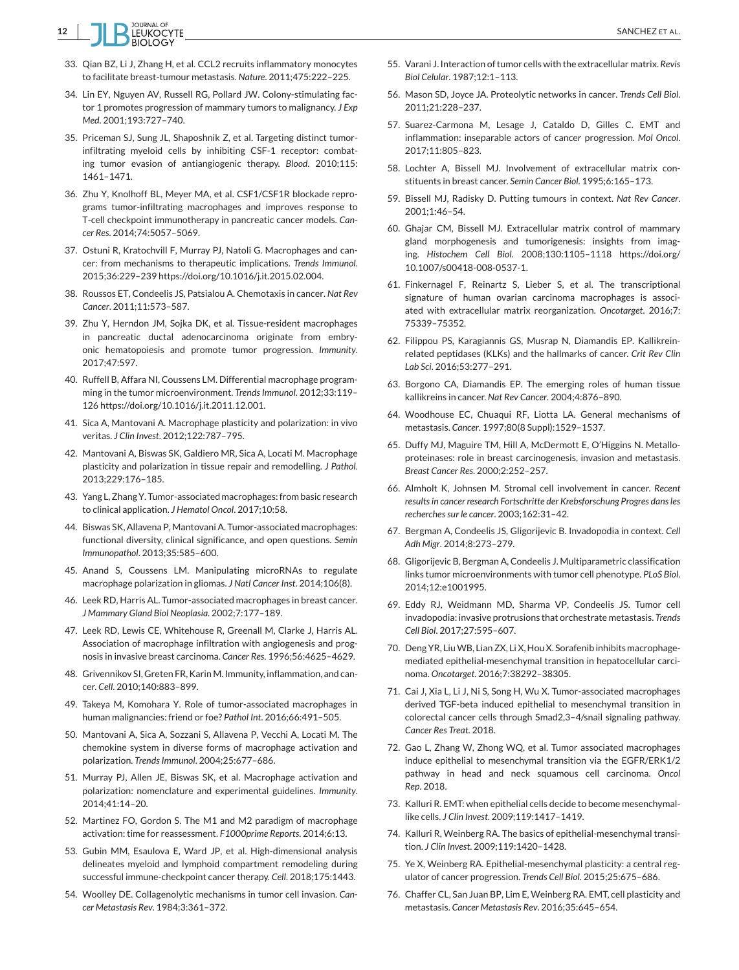

- 33. Qian BZ, Li J, Zhang H, et al. CCL2 recruits inflammatory monocytes to facilitate breast-tumour metastasis. *Nature*. 2011;475:222–225.
- 34. Lin EY, Nguyen AV, Russell RG, Pollard JW. Colony-stimulating factor 1 promotes progression of mammary tumors to malignancy. *J Exp Med*. 2001;193:727–740.
- 35. Priceman SJ, Sung JL, Shaposhnik Z, et al. Targeting distinct tumorinfiltrating myeloid cells by inhibiting CSF-1 receptor: combating tumor evasion of antiangiogenic therapy. *Blood*. 2010;115: 1461–1471.
- 36. Zhu Y, Knolhoff BL, Meyer MA, et al. CSF1/CSF1R blockade reprograms tumor-infiltrating macrophages and improves response to T-cell checkpoint immunotherapy in pancreatic cancer models. *Cancer Res*. 2014;74:5057–5069.
- 37. Ostuni R, Kratochvill F, Murray PJ, Natoli G. Macrophages and cancer: from mechanisms to therapeutic implications. *Trends Immunol*. 2015;36:229–239 https://doi.org/10.1016/j.it.2015.02.004.
- 38. Roussos ET, Condeelis JS, Patsialou A. Chemotaxis in cancer. *Nat Rev Cancer*. 2011;11:573–587.
- 39. Zhu Y, Herndon JM, Sojka DK, et al. Tissue-resident macrophages in pancreatic ductal adenocarcinoma originate from embryonic hematopoiesis and promote tumor progression. *Immunity*. 2017;47:597.
- 40. Ruffell B, Affara NI, Coussens LM. Differential macrophage programming in the tumor microenvironment. *Trends Immunol*. 2012;33:119– 126 https://doi.org/10.1016/j.it.2011.12.001.
- 41. Sica A, Mantovani A. Macrophage plasticity and polarization: in vivo veritas. *J Clin Invest*. 2012;122:787–795.
- 42. Mantovani A, Biswas SK, Galdiero MR, Sica A, Locati M. Macrophage plasticity and polarization in tissue repair and remodelling. *J Pathol*. 2013;229:176–185.
- 43. Yang L, Zhang Y. Tumor-associated macrophages: from basic research to clinical application. *J Hematol Oncol*. 2017;10:58.
- 44. Biswas SK, Allavena P, Mantovani A. Tumor-associated macrophages: functional diversity, clinical significance, and open questions. *Semin Immunopathol*. 2013;35:585–600.
- 45. Anand S, Coussens LM. Manipulating microRNAs to regulate macrophage polarization in gliomas. *J Natl Cancer Inst*. 2014;106(8).
- 46. Leek RD, Harris AL. Tumor-associated macrophages in breast cancer. *J Mammary Gland Biol Neoplasia*. 2002;7:177–189.
- 47. Leek RD, Lewis CE, Whitehouse R, Greenall M, Clarke J, Harris AL. Association of macrophage infiltration with angiogenesis and prognosis in invasive breast carcinoma. *Cancer Res*. 1996;56:4625–4629.
- 48. Grivennikov SI, Greten FR, Karin M. Immunity, inflammation, and cancer. *Cell*. 2010;140:883–899.
- 49. Takeya M, Komohara Y. Role of tumor-associated macrophages in human malignancies: friend or foe? *Pathol Int*. 2016;66:491–505.
- 50. Mantovani A, Sica A, Sozzani S, Allavena P, Vecchi A, Locati M. The chemokine system in diverse forms of macrophage activation and polarization. *Trends Immunol*. 2004;25:677–686.
- 51. Murray PJ, Allen JE, Biswas SK, et al. Macrophage activation and polarization: nomenclature and experimental guidelines. *Immunity*. 2014;41:14–20.
- 52. Martinez FO, Gordon S. The M1 and M2 paradigm of macrophage activation: time for reassessment. *F1000prime Reports*. 2014;6:13.
- 53. Gubin MM, Esaulova E, Ward JP, et al. High-dimensional analysis delineates myeloid and lymphoid compartment remodeling during successful immune-checkpoint cancer therapy. *Cell*. 2018;175:1443.
- 54. Woolley DE. Collagenolytic mechanisms in tumor cell invasion. *Cancer Metastasis Rev*. 1984;3:361–372.
- 55. Varani J. Interaction of tumor cells with the extracellular matrix. *Revis Biol Celular*. 1987;12:1–113.
- 56. Mason SD, Joyce JA. Proteolytic networks in cancer. *Trends Cell Biol*. 2011;21:228–237.
- 57. Suarez-Carmona M, Lesage J, Cataldo D, Gilles C. EMT and inflammation: inseparable actors of cancer progression. *Mol Oncol*. 2017;11:805–823.
- 58. Lochter A, Bissell MJ. Involvement of extracellular matrix constituents in breast cancer. *Semin Cancer Biol*. 1995;6:165–173.
- 59. Bissell MJ, Radisky D. Putting tumours in context. *Nat Rev Cancer*. 2001;1:46–54.
- 60. Ghajar CM, Bissell MJ. Extracellular matrix control of mammary gland morphogenesis and tumorigenesis: insights from imaging. *Histochem Cell Biol*. 2008;130:1105–1118 https://doi.org/ 10.1007/s00418-008-0537-1.
- 61. Finkernagel F, Reinartz S, Lieber S, et al. The transcriptional signature of human ovarian carcinoma macrophages is associated with extracellular matrix reorganization. *Oncotarget*. 2016;7: 75339–75352.
- 62. Filippou PS, Karagiannis GS, Musrap N, Diamandis EP. Kallikreinrelated peptidases (KLKs) and the hallmarks of cancer. *Crit Rev Clin Lab Sci*. 2016;53:277–291.
- 63. Borgono CA, Diamandis EP. The emerging roles of human tissue kallikreins in cancer. *Nat Rev Cancer*. 2004;4:876–890.
- 64. Woodhouse EC, Chuaqui RF, Liotta LA. General mechanisms of metastasis. *Cancer*. 1997;80(8 Suppl):1529–1537.
- 65. Duffy MJ, Maguire TM, Hill A, McDermott E, O'Higgins N. Metalloproteinases: role in breast carcinogenesis, invasion and metastasis. *Breast Cancer Res*. 2000;2:252–257.
- 66. Almholt K, Johnsen M. Stromal cell involvement in cancer. *Recent results in cancer research Fortschritte der Krebsforschung Progres dans les recherches sur le cancer*. 2003;162:31–42.
- 67. Bergman A, Condeelis JS, Gligorijevic B. Invadopodia in context. *Cell Adh Migr*. 2014;8:273–279.
- 68. Gligorijevic B, Bergman A, Condeelis J. Multiparametric classification links tumor microenvironments with tumor cell phenotype. *PLoS Biol*. 2014;12:e1001995.
- 69. Eddy RJ, Weidmann MD, Sharma VP, Condeelis JS. Tumor cell invadopodia: invasive protrusions that orchestrate metastasis. *Trends Cell Biol*. 2017;27:595–607.
- 70. Deng YR, LiuWB, Lian ZX, Li X, Hou X. Sorafenib inhibits macrophagemediated epithelial-mesenchymal transition in hepatocellular carcinoma. *Oncotarget*. 2016;7:38292–38305.
- 71. Cai J, Xia L, Li J, Ni S, Song H, Wu X. Tumor-associated macrophages derived TGF-beta induced epithelial to mesenchymal transition in colorectal cancer cells through Smad2,3–4/snail signaling pathway. *Cancer Res Treat*. 2018.
- 72. Gao L, Zhang W, Zhong WQ, et al. Tumor associated macrophages induce epithelial to mesenchymal transition via the EGFR/ERK1/2 pathway in head and neck squamous cell carcinoma. *Oncol Rep*. 2018.
- 73. Kalluri R. EMT: when epithelial cells decide to become mesenchymallike cells. *J Clin Invest*. 2009;119:1417–1419.
- 74. Kalluri R, Weinberg RA. The basics of epithelial-mesenchymal transition. *J Clin Invest*. 2009;119:1420–1428.
- 75. Ye X, Weinberg RA. Epithelial-mesenchymal plasticity: a central regulator of cancer progression. *Trends Cell Biol*. 2015;25:675–686.
- 76. Chaffer CL, San Juan BP, Lim E, Weinberg RA. EMT, cell plasticity and metastasis. *Cancer Metastasis Rev*. 2016;35:645–654.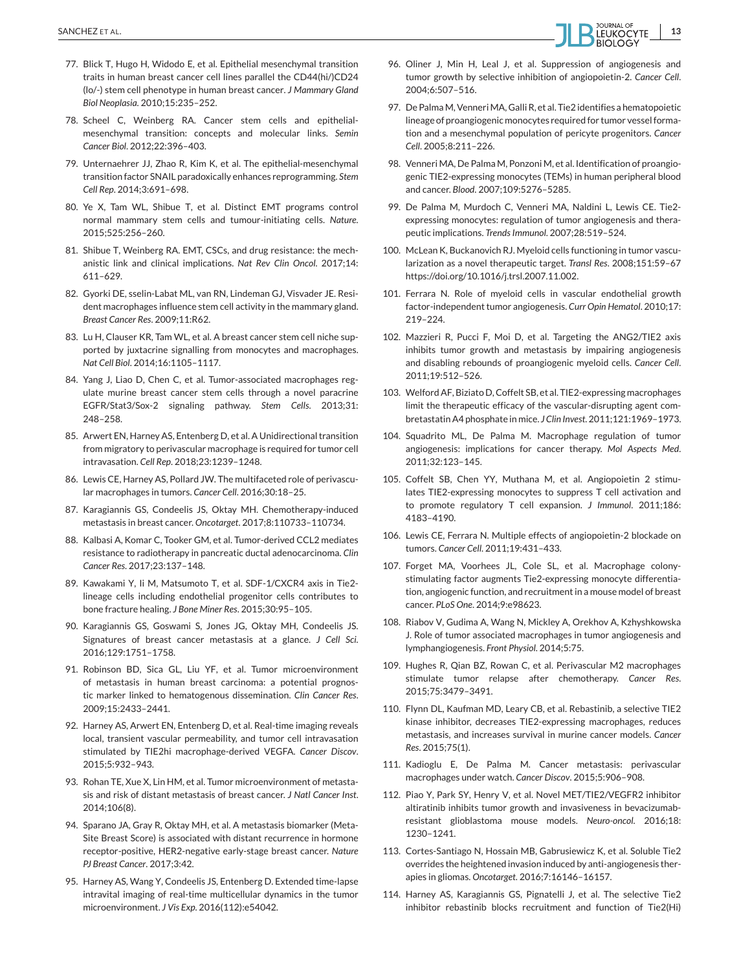- 77. Blick T, Hugo H, Widodo E, et al. Epithelial mesenchymal transition traits in human breast cancer cell lines parallel the CD44(hi/)CD24 (lo/-) stem cell phenotype in human breast cancer. *J Mammary Gland Biol Neoplasia*. 2010;15:235–252.
- 78. Scheel C, Weinberg RA. Cancer stem cells and epithelialmesenchymal transition: concepts and molecular links. *Semin Cancer Biol*. 2012;22:396–403.
- 79. Unternaehrer JJ, Zhao R, Kim K, et al. The epithelial-mesenchymal transition factor SNAIL paradoxically enhances reprogramming. *Stem Cell Rep*. 2014;3:691–698.
- 80. Ye X, Tam WL, Shibue T, et al. Distinct EMT programs control normal mammary stem cells and tumour-initiating cells. *Nature*. 2015;525:256–260.
- 81. Shibue T, Weinberg RA. EMT, CSCs, and drug resistance: the mechanistic link and clinical implications. *Nat Rev Clin Oncol*. 2017;14: 611–629.
- 82. Gyorki DE, sselin-Labat ML, van RN, Lindeman GJ, Visvader JE. Resident macrophages influence stem cell activity in the mammary gland. *Breast Cancer Res*. 2009;11:R62.
- 83. Lu H, Clauser KR, Tam WL, et al. A breast cancer stem cell niche supported by juxtacrine signalling from monocytes and macrophages. *Nat Cell Biol*. 2014;16:1105–1117.
- 84. Yang J, Liao D, Chen C, et al. Tumor-associated macrophages regulate murine breast cancer stem cells through a novel paracrine EGFR/Stat3/Sox-2 signaling pathway. *Stem Cells*. 2013;31: 248–258.
- 85. Arwert EN, Harney AS, Entenberg D, et al. A Unidirectional transition from migratory to perivascular macrophage is required for tumor cell intravasation. *Cell Rep*. 2018;23:1239–1248.
- 86. Lewis CE, Harney AS, Pollard JW. The multifaceted role of perivascular macrophages in tumors. *Cancer Cell*. 2016;30:18–25.
- 87. Karagiannis GS, Condeelis JS, Oktay MH. Chemotherapy-induced metastasis in breast cancer. *Oncotarget*. 2017;8:110733–110734.
- 88. Kalbasi A, Komar C, Tooker GM, et al. Tumor-derived CCL2 mediates resistance to radiotherapy in pancreatic ductal adenocarcinoma. *Clin Cancer Res*. 2017;23:137–148.
- 89. Kawakami Y, Ii M, Matsumoto T, et al. SDF-1/CXCR4 axis in Tie2 lineage cells including endothelial progenitor cells contributes to bone fracture healing. *J Bone Miner Res*. 2015;30:95–105.
- 90. Karagiannis GS, Goswami S, Jones JG, Oktay MH, Condeelis JS. Signatures of breast cancer metastasis at a glance. *J Cell Sci*. 2016;129:1751–1758.
- 91. Robinson BD, Sica GL, Liu YF, et al. Tumor microenvironment of metastasis in human breast carcinoma: a potential prognostic marker linked to hematogenous dissemination. *Clin Cancer Res*. 2009;15:2433–2441.
- 92. Harney AS, Arwert EN, Entenberg D, et al. Real-time imaging reveals local, transient vascular permeability, and tumor cell intravasation stimulated by TIE2hi macrophage-derived VEGFA. *Cancer Discov*. 2015;5:932–943.
- 93. Rohan TE, Xue X, Lin HM, et al. Tumor microenvironment of metastasis and risk of distant metastasis of breast cancer. *J Natl Cancer Inst*. 2014;106(8).
- 94. Sparano JA, Gray R, Oktay MH, et al. A metastasis biomarker (Meta-Site Breast Score) is associated with distant recurrence in hormone receptor-positive, HER2-negative early-stage breast cancer. *Nature PJ Breast Cancer*. 2017;3:42.
- 95. Harney AS, Wang Y, Condeelis JS, Entenberg D. Extended time-lapse intravital imaging of real-time multicellular dynamics in the tumor microenvironment. *J Vis Exp*. 2016(112):e54042.
- 96. Oliner J, Min H, Leal J, et al. Suppression of angiogenesis and tumor growth by selective inhibition of angiopoietin-2. *Cancer Cell*. 2004;6:507–516.
- 97. De PalmaM, VenneriMA, Galli R, et al. Tie2 identifies a hematopoietic lineage of proangiogenic monocytes required for tumor vessel formation and a mesenchymal population of pericyte progenitors. *Cancer Cell*. 2005;8:211–226.
- 98. Venneri MA, De Palma M, Ponzoni M, et al. Identification of proangiogenic TIE2-expressing monocytes (TEMs) in human peripheral blood and cancer. *Blood*. 2007;109:5276–5285.
- 99. De Palma M, Murdoch C, Venneri MA, Naldini L, Lewis CE. Tie2 expressing monocytes: regulation of tumor angiogenesis and therapeutic implications. *Trends Immunol*. 2007;28:519–524.
- 100. McLean K, Buckanovich RJ. Myeloid cells functioning in tumor vascularization as a novel therapeutic target. *Transl Res*. 2008;151:59–67 https://doi.org/10.1016/j.trsl.2007.11.002.
- 101. Ferrara N. Role of myeloid cells in vascular endothelial growth factor-independent tumor angiogenesis. *Curr Opin Hematol*. 2010;17: 219–224.
- 102. Mazzieri R, Pucci F, Moi D, et al. Targeting the ANG2/TIE2 axis inhibits tumor growth and metastasis by impairing angiogenesis and disabling rebounds of proangiogenic myeloid cells. *Cancer Cell*. 2011;19:512–526.
- 103. Welford AF, Biziato D, Coffelt SB, et al. TIE2-expressing macrophages limit the therapeutic efficacy of the vascular-disrupting agent combretastatin A4 phosphate in mice. *J Clin Invest*. 2011;121:1969–1973.
- 104. Squadrito ML, De Palma M. Macrophage regulation of tumor angiogenesis: implications for cancer therapy. *Mol Aspects Med*. 2011;32:123–145.
- 105. Coffelt SB, Chen YY, Muthana M, et al. Angiopoietin 2 stimulates TIE2-expressing monocytes to suppress T cell activation and to promote regulatory T cell expansion. *J Immunol*. 2011;186: 4183–4190.
- 106. Lewis CE, Ferrara N. Multiple effects of angiopoietin-2 blockade on tumors. *Cancer Cell*. 2011;19:431–433.
- 107. Forget MA, Voorhees JL, Cole SL, et al. Macrophage colonystimulating factor augments Tie2-expressing monocyte differentiation, angiogenic function, and recruitment in a mouse model of breast cancer. *PLoS One*. 2014;9:e98623.
- 108. Riabov V, Gudima A, Wang N, Mickley A, Orekhov A, Kzhyshkowska J. Role of tumor associated macrophages in tumor angiogenesis and lymphangiogenesis. *Front Physiol*. 2014;5:75.
- 109. Hughes R, Qian BZ, Rowan C, et al. Perivascular M2 macrophages stimulate tumor relapse after chemotherapy. *Cancer Res*. 2015;75:3479–3491.
- 110. Flynn DL, Kaufman MD, Leary CB, et al. Rebastinib, a selective TIE2 kinase inhibitor, decreases TIE2-expressing macrophages, reduces metastasis, and increases survival in murine cancer models. *Cancer Res*. 2015;75(1).
- 111. Kadioglu E, De Palma M. Cancer metastasis: perivascular macrophages under watch. *Cancer Discov*. 2015;5:906–908.
- 112. Piao Y, Park SY, Henry V, et al. Novel MET/TIE2/VEGFR2 inhibitor altiratinib inhibits tumor growth and invasiveness in bevacizumabresistant glioblastoma mouse models. *Neuro-oncol*. 2016;18: 1230–1241.
- 113. Cortes-Santiago N, Hossain MB, Gabrusiewicz K, et al. Soluble Tie2 overrides the heightened invasion induced by anti-angiogenesis therapies in gliomas. *Oncotarget*. 2016;7:16146–16157.
- 114. Harney AS, Karagiannis GS, Pignatelli J, et al. The selective Tie2 inhibitor rebastinib blocks recruitment and function of Tie2(Hi)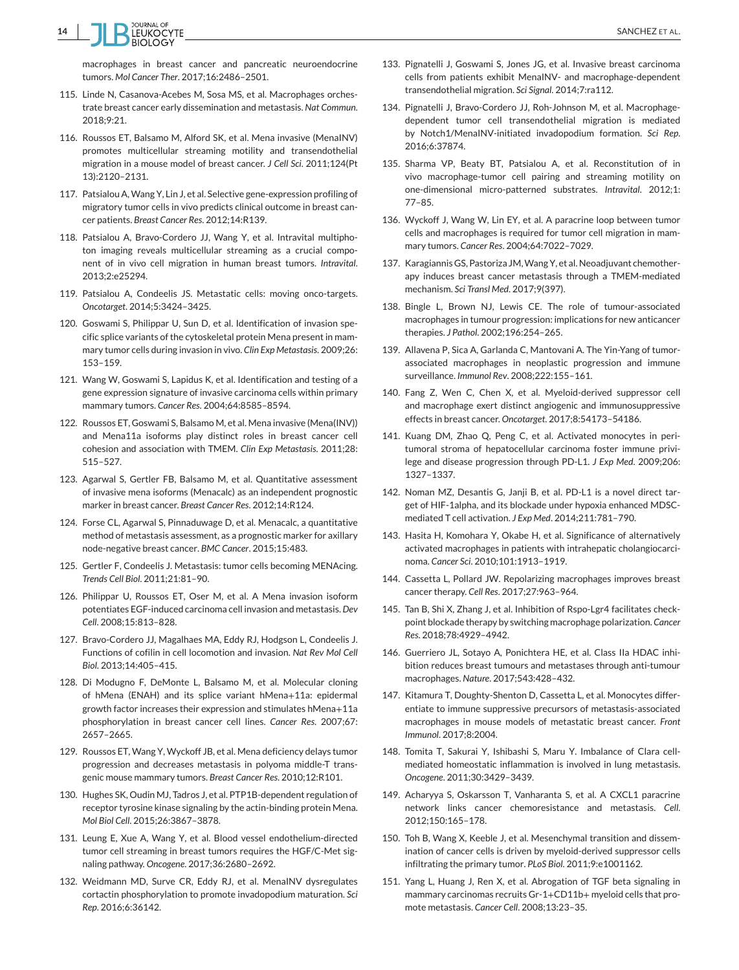

macrophages in breast cancer and pancreatic neuroendocrine tumors. *Mol Cancer Ther*. 2017;16:2486–2501.

- 115. Linde N, Casanova-Acebes M, Sosa MS, et al. Macrophages orchestrate breast cancer early dissemination and metastasis. *Nat Commun*. 2018;9:21.
- 116. Roussos ET, Balsamo M, Alford SK, et al. Mena invasive (MenaINV) promotes multicellular streaming motility and transendothelial migration in a mouse model of breast cancer. *J Cell Sci*. 2011;124(Pt 13):2120–2131.
- 117. Patsialou A,Wang Y, Lin J, et al. Selective gene-expression profiling of migratory tumor cells in vivo predicts clinical outcome in breast cancer patients. *Breast Cancer Res*. 2012;14:R139.
- 118. Patsialou A, Bravo-Cordero JJ, Wang Y, et al. Intravital multiphoton imaging reveals multicellular streaming as a crucial component of in vivo cell migration in human breast tumors. *Intravital*. 2013;2:e25294.
- 119. Patsialou A, Condeelis JS. Metastatic cells: moving onco-targets. *Oncotarget*. 2014;5:3424–3425.
- 120. Goswami S, Philippar U, Sun D, et al. Identification of invasion specific splice variants of the cytoskeletal protein Mena present in mammary tumor cells during invasion in vivo. *Clin Exp Metastasis*. 2009;26: 153–159.
- 121. Wang W, Goswami S, Lapidus K, et al. Identification and testing of a gene expression signature of invasive carcinoma cells within primary mammary tumors. *Cancer Res*. 2004;64:8585–8594.
- 122. Roussos ET, Goswami S, Balsamo M, et al. Mena invasive (Mena(INV)) and Mena11a isoforms play distinct roles in breast cancer cell cohesion and association with TMEM. *Clin Exp Metastasis*. 2011;28: 515–527.
- 123. Agarwal S, Gertler FB, Balsamo M, et al. Quantitative assessment of invasive mena isoforms (Menacalc) as an independent prognostic marker in breast cancer. *Breast Cancer Res*. 2012;14:R124.
- 124. Forse CL, Agarwal S, Pinnaduwage D, et al. Menacalc, a quantitative method of metastasis assessment, as a prognostic marker for axillary node-negative breast cancer. *BMC Cancer*. 2015;15:483.
- 125. Gertler F, Condeelis J. Metastasis: tumor cells becoming MENAcing. *Trends Cell Biol*. 2011;21:81–90.
- 126. Philippar U, Roussos ET, Oser M, et al. A Mena invasion isoform potentiates EGF-induced carcinoma cell invasion and metastasis.*Dev Cell*. 2008;15:813–828.
- 127. Bravo-Cordero JJ, Magalhaes MA, Eddy RJ, Hodgson L, Condeelis J. Functions of cofilin in cell locomotion and invasion. *Nat Rev Mol Cell Biol*. 2013;14:405–415.
- 128. Di Modugno F, DeMonte L, Balsamo M, et al. Molecular cloning of hMena (ENAH) and its splice variant hMena+11a: epidermal growth factor increases their expression and stimulates hMena+11a phosphorylation in breast cancer cell lines. *Cancer Res*. 2007;67: 2657–2665.
- 129. Roussos ET, Wang Y, Wyckoff JB, et al. Mena deficiency delays tumor progression and decreases metastasis in polyoma middle-T transgenic mouse mammary tumors. *Breast Cancer Res*. 2010;12:R101.
- 130. Hughes SK, Oudin MJ, Tadros J, et al. PTP1B-dependent regulation of receptor tyrosine kinase signaling by the actin-binding protein Mena. *Mol Biol Cell*. 2015;26:3867–3878.
- 131. Leung E, Xue A, Wang Y, et al. Blood vessel endothelium-directed tumor cell streaming in breast tumors requires the HGF/C-Met signaling pathway. *Oncogene*. 2017;36:2680–2692.
- 132. Weidmann MD, Surve CR, Eddy RJ, et al. MenaINV dysregulates cortactin phosphorylation to promote invadopodium maturation. *Sci Rep*. 2016;6:36142.
- 133. Pignatelli J, Goswami S, Jones JG, et al. Invasive breast carcinoma cells from patients exhibit MenaINV- and macrophage-dependent transendothelial migration. *Sci Signal*. 2014;7:ra112.
- 134. Pignatelli J, Bravo-Cordero JJ, Roh-Johnson M, et al. Macrophagedependent tumor cell transendothelial migration is mediated by Notch1/MenaINV-initiated invadopodium formation. *Sci Rep*. 2016;6:37874.
- 135. Sharma VP, Beaty BT, Patsialou A, et al. Reconstitution of in vivo macrophage-tumor cell pairing and streaming motility on one-dimensional micro-patterned substrates. *Intravital*. 2012;1: 77–85.
- 136. Wyckoff J, Wang W, Lin EY, et al. A paracrine loop between tumor cells and macrophages is required for tumor cell migration in mammary tumors. *Cancer Res*. 2004;64:7022–7029.
- 137. Karagiannis GS, Pastoriza JM,Wang Y, et al. Neoadjuvant chemotherapy induces breast cancer metastasis through a TMEM-mediated mechanism. *Sci Transl Med*. 2017;9(397).
- 138. Bingle L, Brown NJ, Lewis CE. The role of tumour-associated macrophages in tumour progression: implications for new anticancer therapies. *J Pathol*. 2002;196:254–265.
- 139. Allavena P, Sica A, Garlanda C, Mantovani A. The Yin-Yang of tumorassociated macrophages in neoplastic progression and immune surveillance. *Immunol Rev*. 2008;222:155–161.
- 140. Fang Z, Wen C, Chen X, et al. Myeloid-derived suppressor cell and macrophage exert distinct angiogenic and immunosuppressive effects in breast cancer. *Oncotarget*. 2017;8:54173–54186.
- 141. Kuang DM, Zhao Q, Peng C, et al. Activated monocytes in peritumoral stroma of hepatocellular carcinoma foster immune privilege and disease progression through PD-L1. *J Exp Med*. 2009;206: 1327–1337.
- 142. Noman MZ, Desantis G, Janji B, et al. PD-L1 is a novel direct target of HIF-1alpha, and its blockade under hypoxia enhanced MDSCmediated T cell activation. *J Exp Med*. 2014;211:781–790.
- 143. Hasita H, Komohara Y, Okabe H, et al. Significance of alternatively activated macrophages in patients with intrahepatic cholangiocarcinoma. *Cancer Sci*. 2010;101:1913–1919.
- 144. Cassetta L, Pollard JW. Repolarizing macrophages improves breast cancer therapy. *Cell Res*. 2017;27:963–964.
- 145. Tan B, Shi X, Zhang J, et al. Inhibition of Rspo-Lgr4 facilitates checkpoint blockade therapy by switching macrophage polarization. *Cancer Res*. 2018;78:4929–4942.
- 146. Guerriero JL, Sotayo A, Ponichtera HE, et al. Class IIa HDAC inhibition reduces breast tumours and metastases through anti-tumour macrophages. *Nature*. 2017;543:428–432.
- 147. Kitamura T, Doughty-Shenton D, Cassetta L, et al. Monocytes differentiate to immune suppressive precursors of metastasis-associated macrophages in mouse models of metastatic breast cancer. *Front Immunol*. 2017;8:2004.
- 148. Tomita T, Sakurai Y, Ishibashi S, Maru Y. Imbalance of Clara cellmediated homeostatic inflammation is involved in lung metastasis. *Oncogene*. 2011;30:3429–3439.
- 149. Acharyya S, Oskarsson T, Vanharanta S, et al. A CXCL1 paracrine network links cancer chemoresistance and metastasis. *Cell*. 2012;150:165–178.
- 150. Toh B, Wang X, Keeble J, et al. Mesenchymal transition and dissemination of cancer cells is driven by myeloid-derived suppressor cells infiltrating the primary tumor. *PLoS Biol*. 2011;9:e1001162.
- 151. Yang L, Huang J, Ren X, et al. Abrogation of TGF beta signaling in mammary carcinomas recruits Gr-1+CD11b+ myeloid cells that promote metastasis. *Cancer Cell*. 2008;13:23–35.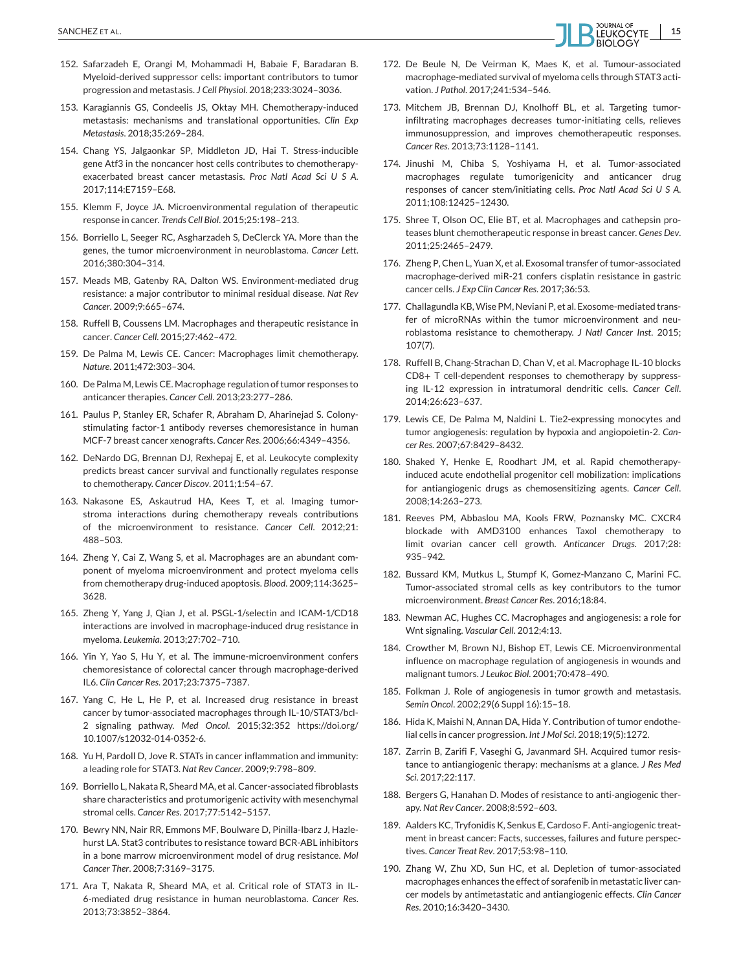- 152. Safarzadeh E, Orangi M, Mohammadi H, Babaie F, Baradaran B. Myeloid-derived suppressor cells: important contributors to tumor progression and metastasis. *J Cell Physiol*. 2018;233:3024–3036.
- 153. Karagiannis GS, Condeelis JS, Oktay MH. Chemotherapy-induced metastasis: mechanisms and translational opportunities. *Clin Exp Metastasis*. 2018;35:269–284.
- 154. Chang YS, Jalgaonkar SP, Middleton JD, Hai T. Stress-inducible gene Atf3 in the noncancer host cells contributes to chemotherapyexacerbated breast cancer metastasis. *Proc Natl Acad Sci U S A*. 2017;114:E7159–E68.
- 155. Klemm F, Joyce JA. Microenvironmental regulation of therapeutic response in cancer. *Trends Cell Biol*. 2015;25:198–213.
- 156. Borriello L, Seeger RC, Asgharzadeh S, DeClerck YA. More than the genes, the tumor microenvironment in neuroblastoma. *Cancer Lett*. 2016;380:304–314.
- 157. Meads MB, Gatenby RA, Dalton WS. Environment-mediated drug resistance: a major contributor to minimal residual disease. *Nat Rev Cancer*. 2009;9:665–674.
- 158. Ruffell B, Coussens LM. Macrophages and therapeutic resistance in cancer. *Cancer Cell*. 2015;27:462–472.
- 159. De Palma M, Lewis CE. Cancer: Macrophages limit chemotherapy. *Nature*. 2011;472:303–304.
- 160. De Palma M, Lewis CE. Macrophage regulation of tumor responses to anticancer therapies. *Cancer Cell*. 2013;23:277–286.
- 161. Paulus P, Stanley ER, Schafer R, Abraham D, Aharinejad S. Colonystimulating factor-1 antibody reverses chemoresistance in human MCF-7 breast cancer xenografts. *Cancer Res*. 2006;66:4349–4356.
- 162. DeNardo DG, Brennan DJ, Rexhepaj E, et al. Leukocyte complexity predicts breast cancer survival and functionally regulates response to chemotherapy. *Cancer Discov*. 2011;1:54–67.
- 163. Nakasone ES, Askautrud HA, Kees T, et al. Imaging tumorstroma interactions during chemotherapy reveals contributions of the microenvironment to resistance. *Cancer Cell*. 2012;21: 488–503.
- 164. Zheng Y, Cai Z, Wang S, et al. Macrophages are an abundant component of myeloma microenvironment and protect myeloma cells from chemotherapy drug-induced apoptosis. *Blood*. 2009;114:3625– 3628.
- 165. Zheng Y, Yang J, Qian J, et al. PSGL-1/selectin and ICAM-1/CD18 interactions are involved in macrophage-induced drug resistance in myeloma. *Leukemia*. 2013;27:702–710.
- 166. Yin Y, Yao S, Hu Y, et al. The immune-microenvironment confers chemoresistance of colorectal cancer through macrophage-derived IL6. *Clin Cancer Res*. 2017;23:7375–7387.
- 167. Yang C, He L, He P, et al. Increased drug resistance in breast cancer by tumor-associated macrophages through IL-10/STAT3/bcl-2 signaling pathway. *Med Oncol*. 2015;32:352 https://doi.org/ 10.1007/s12032-014-0352-6.
- 168. Yu H, Pardoll D, Jove R. STATs in cancer inflammation and immunity: a leading role for STAT3. *Nat Rev Cancer*. 2009;9:798–809.
- 169. Borriello L, Nakata R, Sheard MA, et al. Cancer-associated fibroblasts share characteristics and protumorigenic activity with mesenchymal stromal cells. *Cancer Res*. 2017;77:5142–5157.
- 170. Bewry NN, Nair RR, Emmons MF, Boulware D, Pinilla-Ibarz J, Hazlehurst LA. Stat3 contributes to resistance toward BCR-ABL inhibitors in a bone marrow microenvironment model of drug resistance. *Mol Cancer Ther*. 2008;7:3169–3175.
- 171. Ara T, Nakata R, Sheard MA, et al. Critical role of STAT3 in IL-6-mediated drug resistance in human neuroblastoma. *Cancer Res*. 2013;73:3852–3864.
- 172. De Beule N, De Veirman K, Maes K, et al. Tumour-associated macrophage-mediated survival of myeloma cells through STAT3 activation. *J Pathol*. 2017;241:534–546.
- 173. Mitchem JB, Brennan DJ, Knolhoff BL, et al. Targeting tumorinfiltrating macrophages decreases tumor-initiating cells, relieves immunosuppression, and improves chemotherapeutic responses. *Cancer Res*. 2013;73:1128–1141.
- 174. Jinushi M, Chiba S, Yoshiyama H, et al. Tumor-associated macrophages regulate tumorigenicity and anticancer drug responses of cancer stem/initiating cells. *Proc Natl Acad Sci U S A*. 2011;108:12425–12430.
- 175. Shree T, Olson OC, Elie BT, et al. Macrophages and cathepsin proteases blunt chemotherapeutic response in breast cancer. *Genes Dev*.  $2011:25:2465-2479$
- 176. Zheng P, Chen L, Yuan X, et al. Exosomal transfer of tumor-associated macrophage-derived miR-21 confers cisplatin resistance in gastric cancer cells. *J Exp Clin Cancer Res*. 2017;36:53.
- 177. Challagundla KB,Wise PM, Neviani P, et al. Exosome-mediated transfer of microRNAs within the tumor microenvironment and neuroblastoma resistance to chemotherapy. *J Natl Cancer Inst*. 2015; 107(7).
- 178. Ruffell B, Chang-Strachan D, Chan V, et al. Macrophage IL-10 blocks CD8+ T cell-dependent responses to chemotherapy by suppressing IL-12 expression in intratumoral dendritic cells. *Cancer Cell*. 2014;26:623–637.
- 179. Lewis CE, De Palma M, Naldini L. Tie2-expressing monocytes and tumor angiogenesis: regulation by hypoxia and angiopoietin-2. *Cancer Res*. 2007;67:8429–8432.
- 180. Shaked Y, Henke E, Roodhart JM, et al. Rapid chemotherapyinduced acute endothelial progenitor cell mobilization: implications for antiangiogenic drugs as chemosensitizing agents. *Cancer Cell*. 2008;14:263–273.
- 181. Reeves PM, Abbaslou MA, Kools FRW, Poznansky MC. CXCR4 blockade with AMD3100 enhances Taxol chemotherapy to limit ovarian cancer cell growth. *Anticancer Drugs*. 2017;28: 935–942.
- 182. Bussard KM, Mutkus L, Stumpf K, Gomez-Manzano C, Marini FC. Tumor-associated stromal cells as key contributors to the tumor microenvironment. *Breast Cancer Res*. 2016;18:84.
- 183. Newman AC, Hughes CC. Macrophages and angiogenesis: a role for Wnt signaling. *Vascular Cell*. 2012;4:13.
- 184. Crowther M, Brown NJ, Bishop ET, Lewis CE. Microenvironmental influence on macrophage regulation of angiogenesis in wounds and malignant tumors. *J Leukoc Biol*. 2001;70:478–490.
- 185. Folkman J. Role of angiogenesis in tumor growth and metastasis. *Semin Oncol*. 2002;29(6 Suppl 16):15–18.
- 186. Hida K, Maishi N, Annan DA, Hida Y. Contribution of tumor endothelial cells in cancer progression. *Int J Mol Sci*. 2018;19(5):1272.
- 187. Zarrin B, Zarifi F, Vaseghi G, Javanmard SH. Acquired tumor resistance to antiangiogenic therapy: mechanisms at a glance. *J Res Med Sci*. 2017;22:117.
- 188. Bergers G, Hanahan D. Modes of resistance to anti-angiogenic therapy. *Nat Rev Cancer*. 2008;8:592–603.
- 189. Aalders KC, Tryfonidis K, Senkus E, Cardoso F. Anti-angiogenic treatment in breast cancer: Facts, successes, failures and future perspectives. *Cancer Treat Rev*. 2017;53:98–110.
- 190. Zhang W, Zhu XD, Sun HC, et al. Depletion of tumor-associated macrophages enhances the effect of sorafenib in metastatic liver cancer models by antimetastatic and antiangiogenic effects. *Clin Cancer Res*. 2010;16:3420–3430.